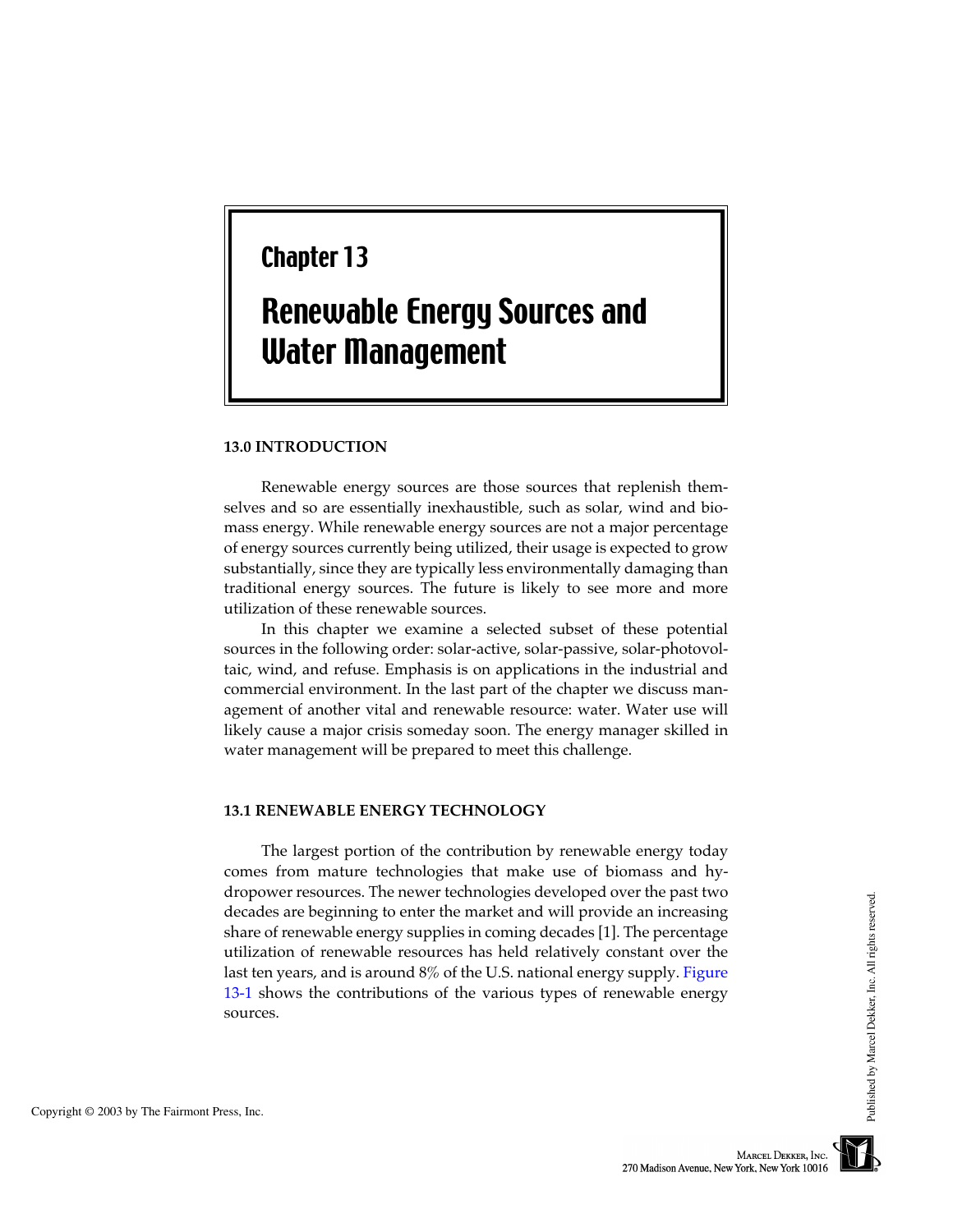# Chapter 13

# Renewable Energy Sources and Water Management

# **13.0 INTRODUCTION**

Renewable energy sources are those sources that replenish themselves and so are essentially inexhaustible, such as solar, wind and biomass energy. While renewable energy sources are not a major percentage of energy sources currently being utilized, their usage is expected to grow substantially, since they are typically less environmentally damaging than traditional energy sources. The future is likely to see more and more utilization of these renewable sources.

In this chapter we examine a selected subset of these potential sources in the following order: solar-active, solar-passive, solar-photovoltaic, wind, and refuse. Emphasis is on applications in the industrial and commercial environment. In the last part of the chapter we discuss management of another vital and renewable resource: water. Water use will likely cause a major crisis someday soon. The energy manager skilled in water management will be prepared to meet this challenge.

# **13.1 RENEWABLE ENERGY TECHNOLOGY**

The largest portion of the contribution by renewable energy today comes from mature technologies that make use of biomass and hydropower resources. The newer technologies developed over the past two decades are beginning to enter the market and will provide an increasing share of renewable energy supplies in coming decades [1]. The percentage utilization of renewable resources has held relatively constant over the last ten years, and is around 8% of the U.S. national energy supply[. Figure](#page-1-0) [13-1](#page-1-0) shows the contributions of the various types of renewable energy sources.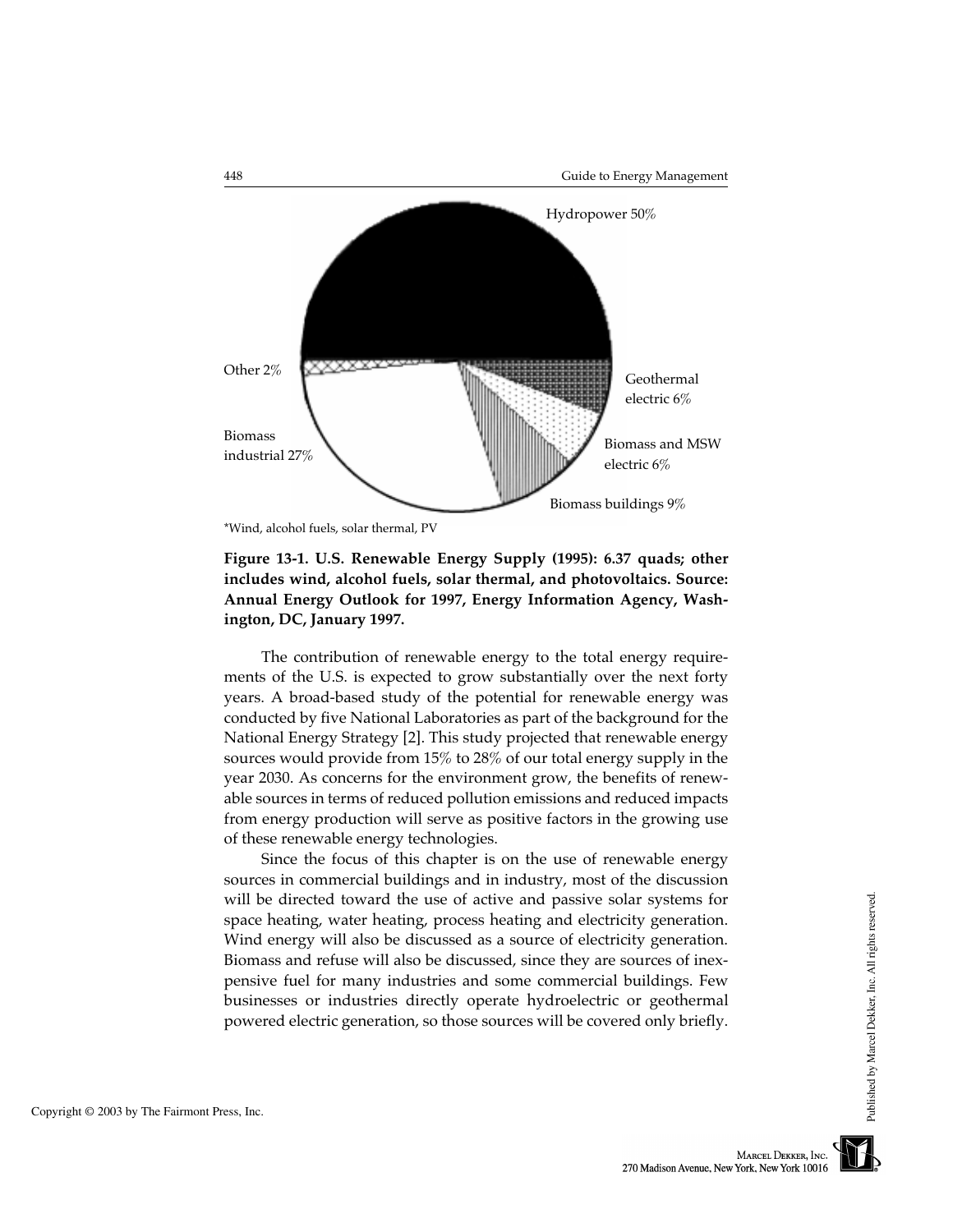<span id="page-1-0"></span>

\*Wind, alcohol fuels, solar thermal, PV

# **Figure 13-1. U.S. Renewable Energy Supply (1995): 6.37 quads; other includes wind, alcohol fuels, solar thermal, and photovoltaics. Source: Annual Energy Outlook for 1997, Energy Information Agency, Washington, DC, January 1997.**

The contribution of renewable energy to the total energy requirements of the U.S. is expected to grow substantially over the next forty years. A broad-based study of the potential for renewable energy was conducted by five National Laboratories as part of the background for the National Energy Strategy [2]. This study projected that renewable energy sources would provide from 15% to 28% of our total energy supply in the year 2030. As concerns for the environment grow, the benefits of renewable sources in terms of reduced pollution emissions and reduced impacts from energy production will serve as positive factors in the growing use of these renewable energy technologies.

Since the focus of this chapter is on the use of renewable energy sources in commercial buildings and in industry, most of the discussion will be directed toward the use of active and passive solar systems for space heating, water heating, process heating and electricity generation. Wind energy will also be discussed as a source of electricity generation. Biomass and refuse will also be discussed, since they are sources of inexpensive fuel for many industries and some commercial buildings. Few businesses or industries directly operate hydroelectric or geothermal powered electric generation, so those sources will be covered only briefly.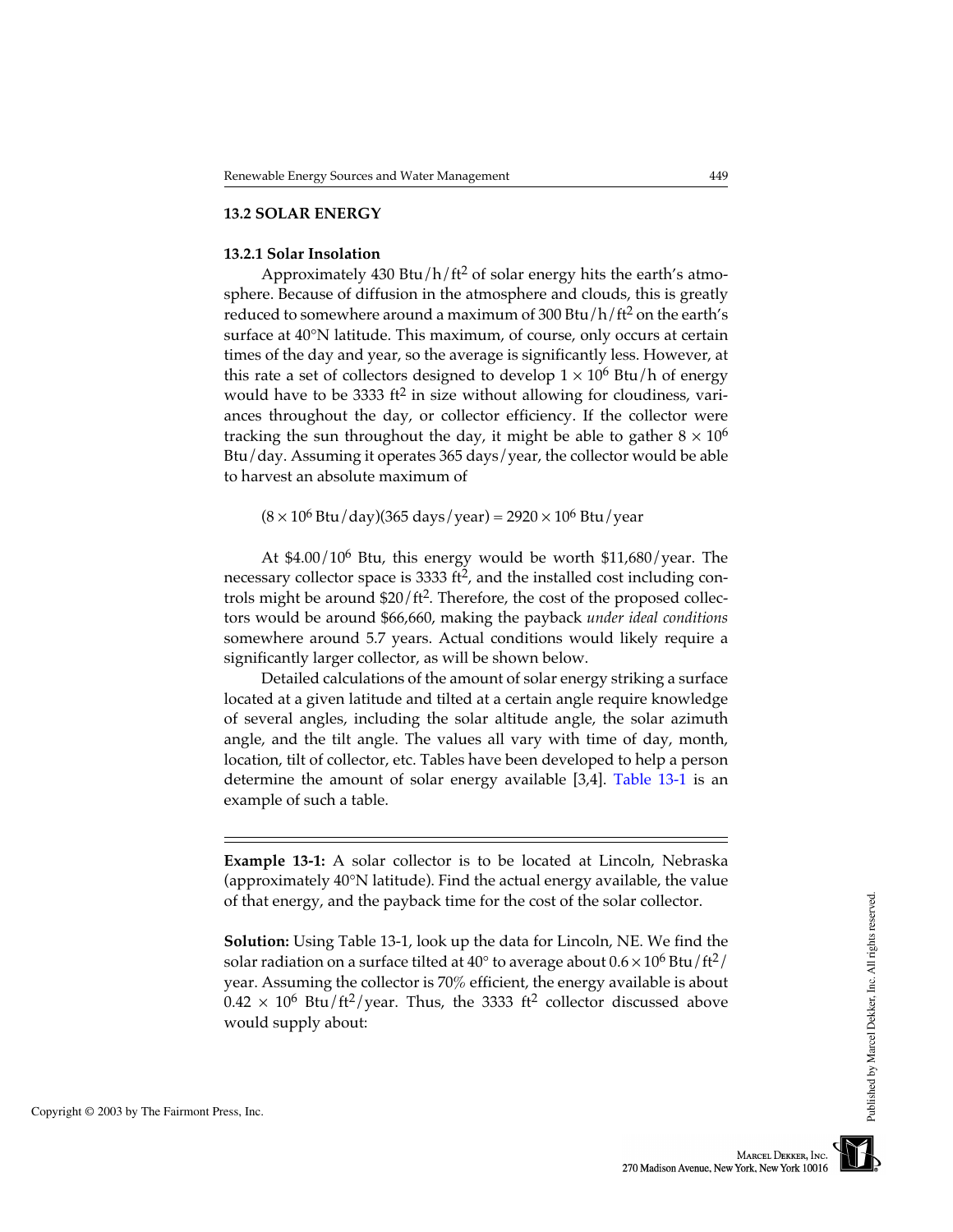#### **13.2 SOLAR ENERGY**

#### **13.2.1 Solar Insolation**

Approximately 430 Btu/h/ft<sup>2</sup> of solar energy hits the earth's atmosphere. Because of diffusion in the atmosphere and clouds, this is greatly reduced to somewhere around a maximum of 300 Btu/h/ft<sup>2</sup> on the earth's surface at 40°N latitude. This maximum, of course, only occurs at certain times of the day and year, so the average is significantly less. However, at this rate a set of collectors designed to develop  $1 \times 10^6$  Btu/h of energy would have to be  $3333 \text{ ft}^2$  in size without allowing for cloudiness, variances throughout the day, or collector efficiency. If the collector were tracking the sun throughout the day, it might be able to gather  $8 \times 10^6$ Btu/day. Assuming it operates 365 days/year, the collector would be able to harvest an absolute maximum of

 $(8 \times 10^{6}$  Btu / day)(365 days / year) = 2920  $\times 10^{6}$  Btu / year

At \$4.00/106 Btu, this energy would be worth \$11,680/year. The necessary collector space is  $3333 \text{ ft}^2$ , and the installed cost including controls might be around  $$20/ft^2$ . Therefore, the cost of the proposed collectors would be around \$66,660, making the payback *under ideal conditions* somewhere around 5.7 years. Actual conditions would likely require a significantly larger collector, as will be shown below.

Detailed calculations of the amount of solar energy striking a surface located at a given latitude and tilted at a certain angle require knowledge of several angles, including the solar altitude angle, the solar azimuth angle, and the tilt angle. The values all vary with time of day, month, location, tilt of collector, etc. Tables have been developed to help a person determine the amount of solar energy available [3,4]. [Table 13-1](#page-3-0) is an example of such a table.

**Example 13-1:** A solar collector is to be located at Lincoln, Nebraska (approximately 40°N latitude). Find the actual energy available, the value of that energy, and the payback time for the cost of the solar collector.

**Solution:** Using Table 13-1, look up the data for Lincoln, NE. We find the solar radiation on a surface tilted at  $40^{\circ}$  to average about  $0.6 \times 10^6$  Btu/ft<sup>2</sup>/ year. Assuming the collector is 70% efficient, the energy available is about  $0.42 \times 10^6$  Btu/ft<sup>2</sup>/year. Thus, the 3333 ft<sup>2</sup> collector discussed above would supply about: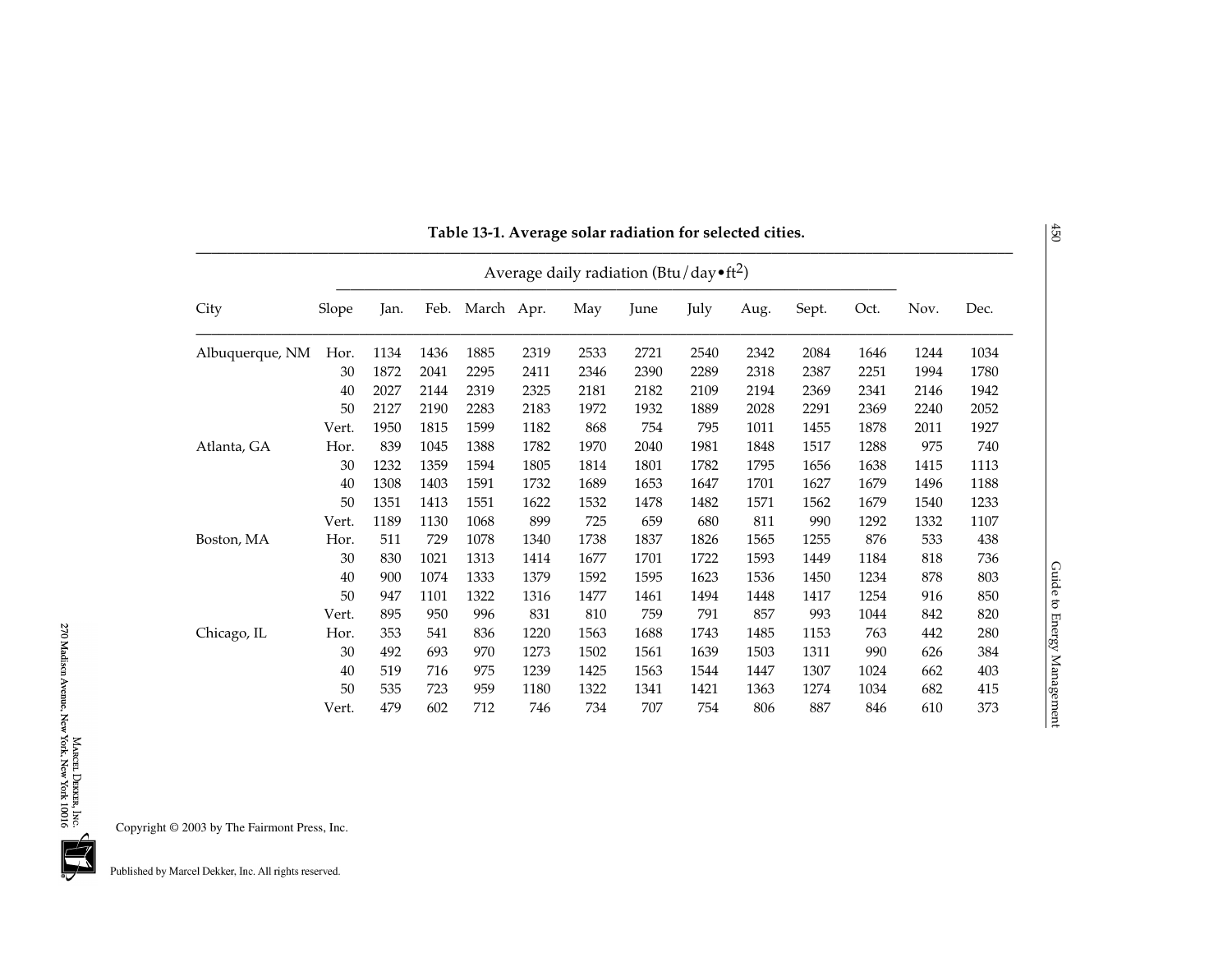<span id="page-3-0"></span>

| Average daily radiation (Btu/day $\bullet$ ft <sup>2</sup> ) |       |      |      |            |      |      |      |      |      |       |      |      |      |
|--------------------------------------------------------------|-------|------|------|------------|------|------|------|------|------|-------|------|------|------|
| City                                                         | Slope | Jan. | Feb. | March Apr. |      | May  | June | July | Aug. | Sept. | Oct. | Nov. | Dec. |
| Albuquerque, NM                                              | Hor.  | 1134 | 1436 | 1885       | 2319 | 2533 | 2721 | 2540 | 2342 | 2084  | 1646 | 1244 | 1034 |
|                                                              | 30    | 1872 | 2041 | 2295       | 2411 | 2346 | 2390 | 2289 | 2318 | 2387  | 2251 | 1994 | 1780 |
|                                                              | 40    | 2027 | 2144 | 2319       | 2325 | 2181 | 2182 | 2109 | 2194 | 2369  | 2341 | 2146 | 1942 |
|                                                              | 50    | 2127 | 2190 | 2283       | 2183 | 1972 | 1932 | 1889 | 2028 | 2291  | 2369 | 2240 | 2052 |
|                                                              | Vert. | 1950 | 1815 | 1599       | 1182 | 868  | 754  | 795  | 1011 | 1455  | 1878 | 2011 | 1927 |
| Atlanta, GA                                                  | Hor.  | 839  | 1045 | 1388       | 1782 | 1970 | 2040 | 1981 | 1848 | 1517  | 1288 | 975  | 740  |
|                                                              | 30    | 1232 | 1359 | 1594       | 1805 | 1814 | 1801 | 1782 | 1795 | 1656  | 1638 | 1415 | 1113 |
|                                                              | 40    | 1308 | 1403 | 1591       | 1732 | 1689 | 1653 | 1647 | 1701 | 1627  | 1679 | 1496 | 1188 |
|                                                              | 50    | 1351 | 1413 | 1551       | 1622 | 1532 | 1478 | 1482 | 1571 | 1562  | 1679 | 1540 | 1233 |
|                                                              | Vert. | 1189 | 1130 | 1068       | 899  | 725  | 659  | 680  | 811  | 990   | 1292 | 1332 | 1107 |
| Boston, MA                                                   | Hor.  | 511  | 729  | 1078       | 1340 | 1738 | 1837 | 1826 | 1565 | 1255  | 876  | 533  | 438  |
|                                                              | 30    | 830  | 1021 | 1313       | 1414 | 1677 | 1701 | 1722 | 1593 | 1449  | 1184 | 818  | 736  |
|                                                              | 40    | 900  | 1074 | 1333       | 1379 | 1592 | 1595 | 1623 | 1536 | 1450  | 1234 | 878  | 803  |
|                                                              | 50    | 947  | 1101 | 1322       | 1316 | 1477 | 1461 | 1494 | 1448 | 1417  | 1254 | 916  | 850  |
|                                                              | Vert. | 895  | 950  | 996        | 831  | 810  | 759  | 791  | 857  | 993   | 1044 | 842  | 820  |
| Chicago, IL                                                  | Hor.  | 353  | 541  | 836        | 1220 | 1563 | 1688 | 1743 | 1485 | 1153  | 763  | 442  | 280  |
|                                                              | 30    | 492  | 693  | 970        | 1273 | 1502 | 1561 | 1639 | 1503 | 1311  | 990  | 626  | 384  |
|                                                              | 40    | 519  | 716  | 975        | 1239 | 1425 | 1563 | 1544 | 1447 | 1307  | 1024 | 662  | 403  |
|                                                              | 50    | 535  | 723  | 959        | 1180 | 1322 | 1341 | 1421 | 1363 | 1274  | 1034 | 682  | 415  |
|                                                              | Vert. | 479  | 602  | 712        | 746  | 734  | 707  | 754  | 806  | 887   | 846  | 610  | 373  |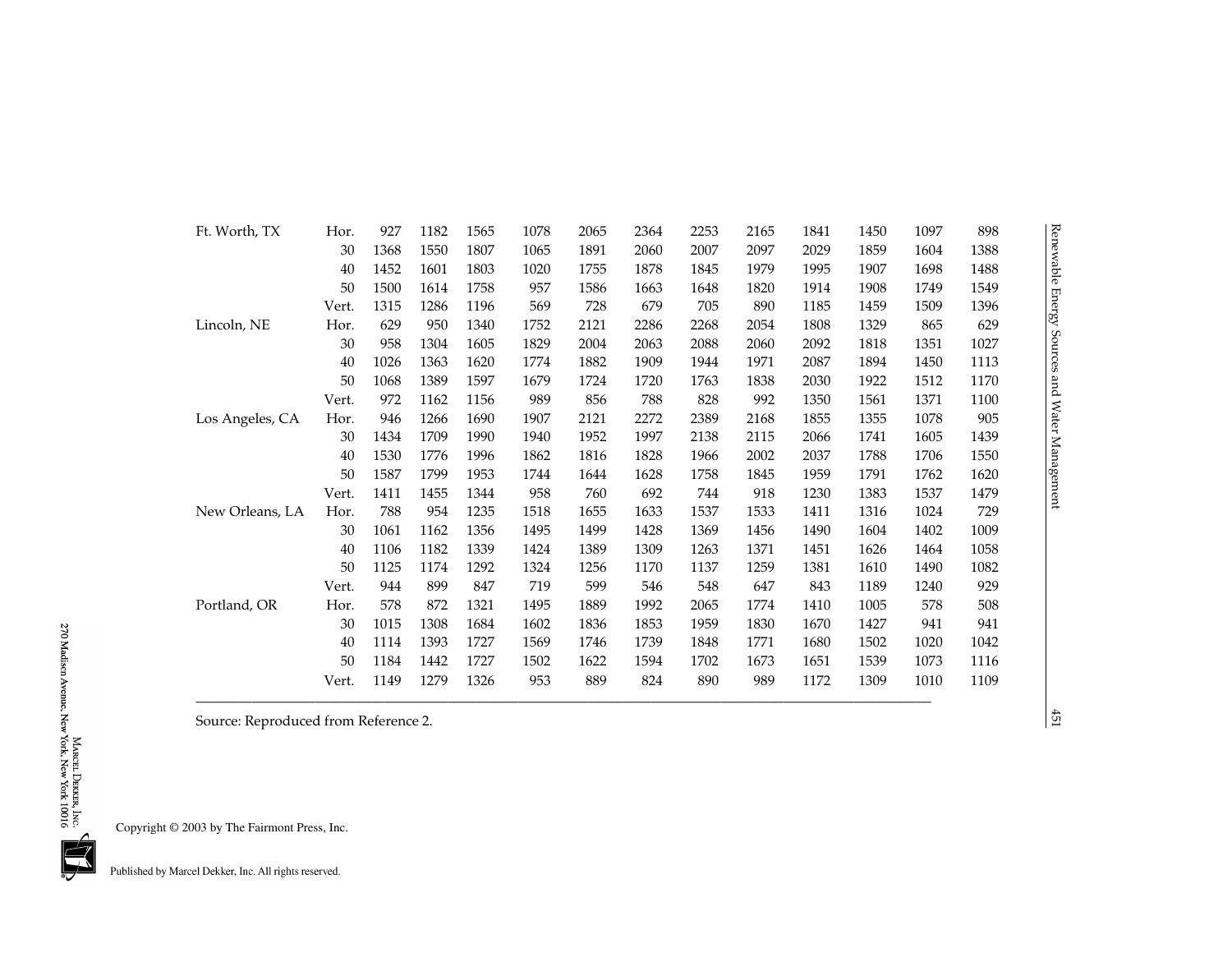| Ft. Worth, TX   | Hor.  | 927  | 1182 | 1565 | 1078 | 2065 | 2364 | 2253 | 2165 | 1841 | 1450 | 1097 | 898  |
|-----------------|-------|------|------|------|------|------|------|------|------|------|------|------|------|
|                 | 30    | 1368 | 1550 | 1807 | 1065 | 1891 | 2060 | 2007 | 2097 | 2029 | 1859 | 1604 | 1388 |
|                 | 40    | 1452 | 1601 | 1803 | 1020 | 1755 | 1878 | 1845 | 1979 | 1995 | 1907 | 1698 | 1488 |
|                 | 50    | 1500 | 1614 | 1758 | 957  | 1586 | 1663 | 1648 | 1820 | 1914 | 1908 | 1749 | 1549 |
|                 | Vert. | 1315 | 1286 | 1196 | 569  | 728  | 679  | 705  | 890  | 1185 | 1459 | 1509 | 1396 |
| Lincoln, NE     | Hor.  | 629  | 950  | 1340 | 1752 | 2121 | 2286 | 2268 | 2054 | 1808 | 1329 | 865  | 629  |
|                 | 30    | 958  | 1304 | 1605 | 1829 | 2004 | 2063 | 2088 | 2060 | 2092 | 1818 | 1351 | 1027 |
|                 | 40    | 1026 | 1363 | 1620 | 1774 | 1882 | 1909 | 1944 | 1971 | 2087 | 1894 | 1450 | 1113 |
|                 | 50    | 1068 | 1389 | 1597 | 1679 | 1724 | 1720 | 1763 | 1838 | 2030 | 1922 | 1512 | 1170 |
|                 | Vert. | 972  | 1162 | 1156 | 989  | 856  | 788  | 828  | 992  | 1350 | 1561 | 1371 | 1100 |
| Los Angeles, CA | Hor.  | 946  | 1266 | 1690 | 1907 | 2121 | 2272 | 2389 | 2168 | 1855 | 1355 | 1078 | 905  |
|                 | 30    | 1434 | 1709 | 1990 | 1940 | 1952 | 1997 | 2138 | 2115 | 2066 | 1741 | 1605 | 1439 |
|                 | 40    | 1530 | 1776 | 1996 | 1862 | 1816 | 1828 | 1966 | 2002 | 2037 | 1788 | 1706 | 1550 |
|                 | 50    | 1587 | 1799 | 1953 | 1744 | 1644 | 1628 | 1758 | 1845 | 1959 | 1791 | 1762 | 1620 |
|                 | Vert. | 1411 | 1455 | 1344 | 958  | 760  | 692  | 744  | 918  | 1230 | 1383 | 1537 | 1479 |
| New Orleans, LA | Hor.  | 788  | 954  | 1235 | 1518 | 1655 | 1633 | 1537 | 1533 | 1411 | 1316 | 1024 | 729  |
|                 | 30    | 1061 | 1162 | 1356 | 1495 | 1499 | 1428 | 1369 | 1456 | 1490 | 1604 | 1402 | 1009 |
|                 | 40    | 1106 | 1182 | 1339 | 1424 | 1389 | 1309 | 1263 | 1371 | 1451 | 1626 | 1464 | 1058 |
|                 | 50    | 1125 | 1174 | 1292 | 1324 | 1256 | 1170 | 1137 | 1259 | 1381 | 1610 | 1490 | 1082 |
|                 | Vert. | 944  | 899  | 847  | 719  | 599  | 546  | 548  | 647  | 843  | 1189 | 1240 | 929  |
| Portland, OR    | Hor.  | 578  | 872  | 1321 | 1495 | 1889 | 1992 | 2065 | 1774 | 1410 | 1005 | 578  | 508  |
|                 | 30    | 1015 | 1308 | 1684 | 1602 | 1836 | 1853 | 1959 | 1830 | 1670 | 1427 | 941  | 941  |
|                 | 40    | 1114 | 1393 | 1727 | 1569 | 1746 | 1739 | 1848 | 1771 | 1680 | 1502 | 1020 | 1042 |
|                 | 50    | 1184 | 1442 | 1727 | 1502 | 1622 | 1594 | 1702 | 1673 | 1651 | 1539 | 1073 | 1116 |
|                 | Vert. | 1149 | 1279 | 1326 | 953  | 889  | 824  | 890  | 989  | 1172 | 1309 | 1010 | 1109 |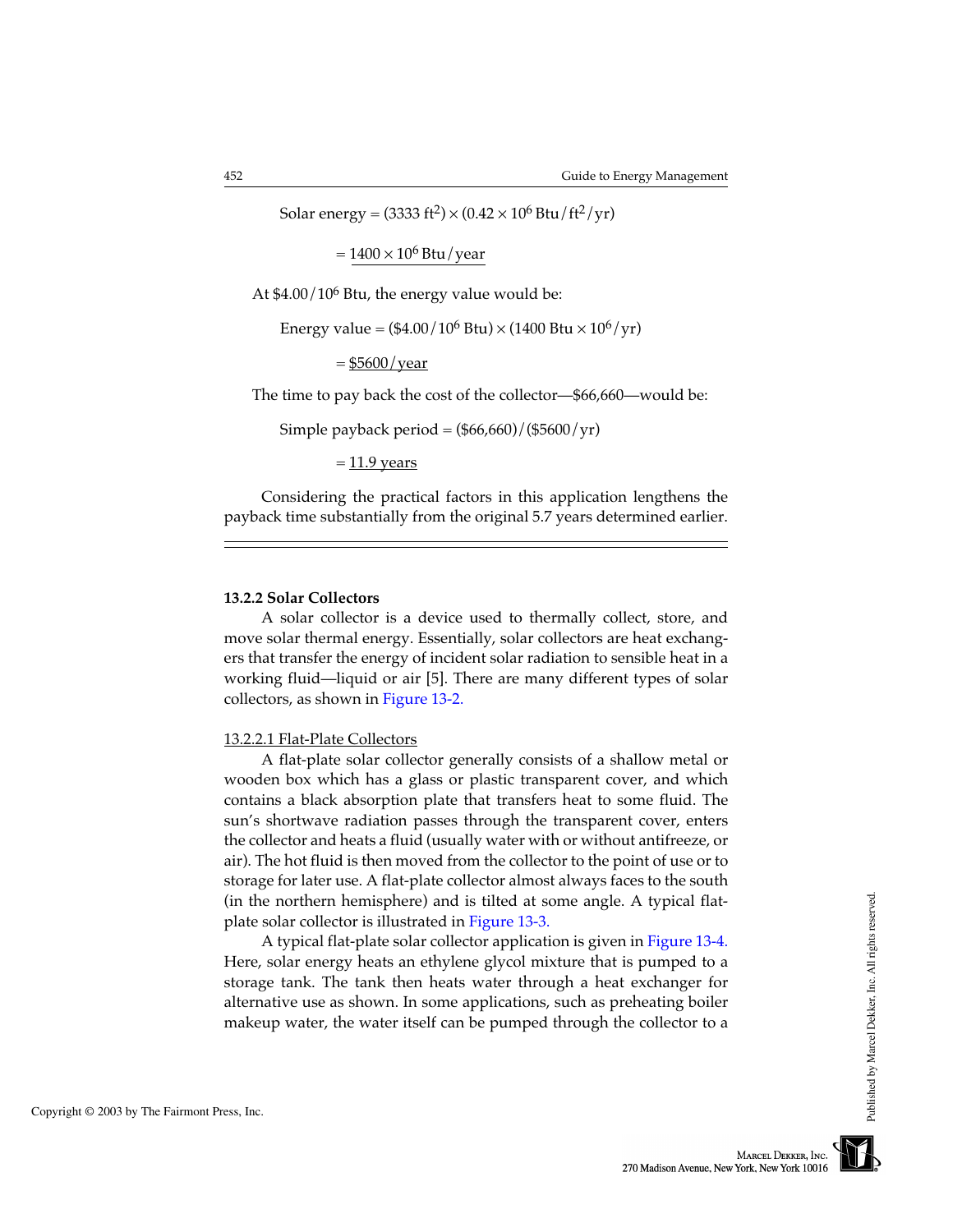Solar energy =  $(3333 \text{ ft}^2) \times (0.42 \times 10^6 \text{ Btu}/\text{ft}^2/\text{yr})$ 

 $= 1400 \times 10^6$  Btu / year

At  $$4.00/10<sup>6</sup>$  Btu, the energy value would be:

Energy value =  $(\$4.00/10^6$  Btu $)\times$  (1400 Btu  $\times$  10<sup>6</sup>/yr)

 $= $5600/\text{year}$ 

The time to pay back the cost of the collector—\$66,660—would be:

```
Simple payback period = (\$66,660)/(\$5600/yr)
```
 $= 11.9$  years

Considering the practical factors in this application lengthens the payback time substantially from the original 5.7 years determined earlier.

# **13.2.2 Solar Collectors**

A solar collector is a device used to thermally collect, store, and move solar thermal energy. Essentially, solar collectors are heat exchangers that transfer the energy of incident solar radiation to sensible heat in a working fluid—liquid or air [5]. There are many different types of solar collectors, as shown i[n Figure 13-2.](#page-6-0)

# 13.2.2.1 Flat-Plate Collectors

A flat-plate solar collector generally consists of a shallow metal or wooden box which has a glass or plastic transparent cover, and which contains a black absorption plate that transfers heat to some fluid. The sun's shortwave radiation passes through the transparent cover, enters the collector and heats a fluid (usually water with or without antifreeze, or air). The hot fluid is then moved from the collector to the point of use or to storage for later use. A flat-plate collector almost always faces to the south (in the northern hemisphere) and is tilted at some angle. A typical flatplate solar collector is illustrated in [Figure 13-3.](#page-6-0)

A typical flat-plate solar collector application is given i[n Figure 13-4.](#page-7-0) Here, solar energy heats an ethylene glycol mixture that is pumped to a storage tank. The tank then heats water through a heat exchanger for alternative use as shown. In some applications, such as preheating boiler makeup water, the water itself can be pumped through the collector to a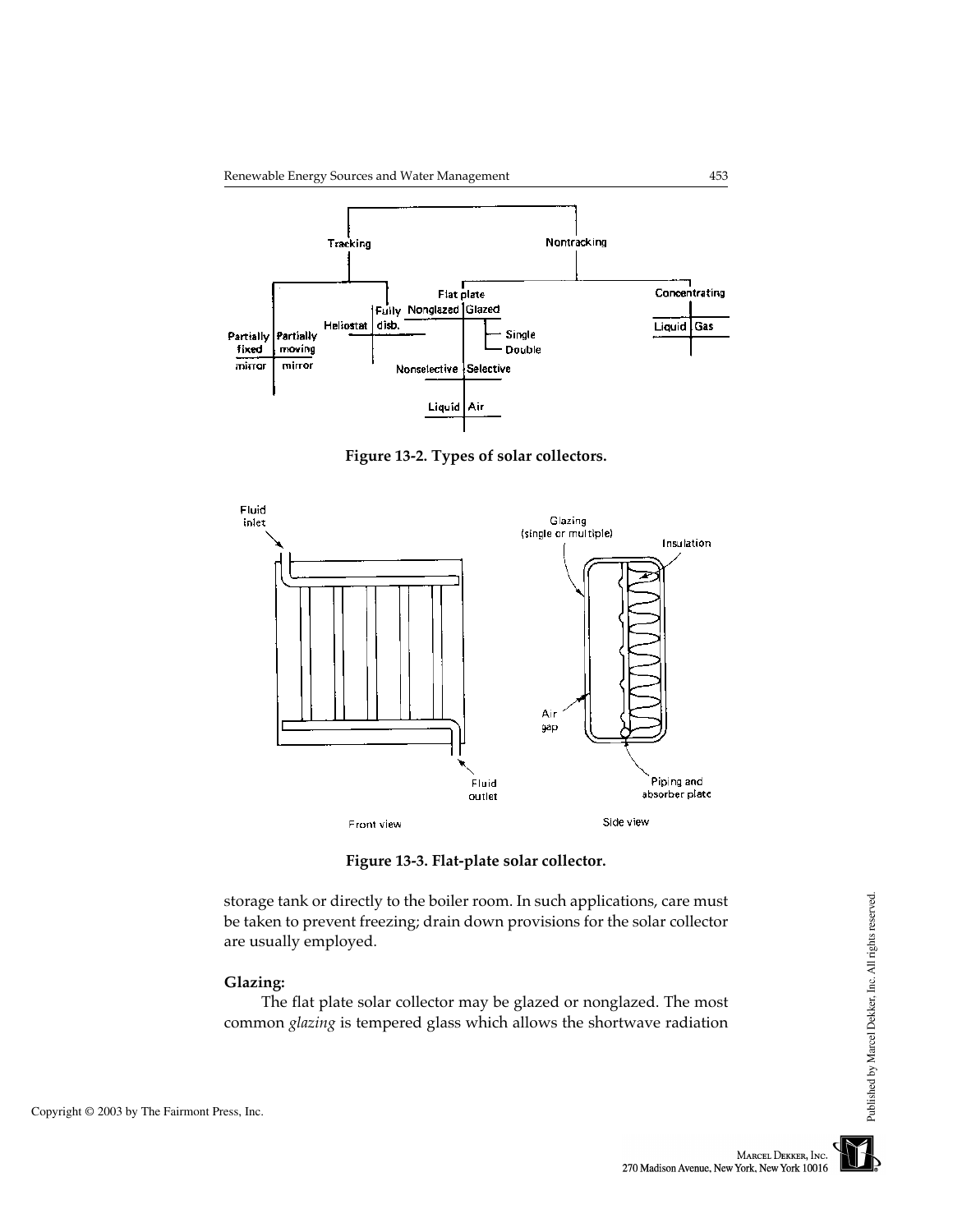<span id="page-6-0"></span>

**Figure 13-2. Types of solar collectors.**



**Figure 13-3. Flat-plate solar collector.**

storage tank or directly to the boiler room. In such applications, care must be taken to prevent freezing; drain down provisions for the solar collector are usually employed.

# **Glazing:**

The flat plate solar collector may be glazed or nonglazed. The most common *glazing* is tempered glass which allows the shortwave radiation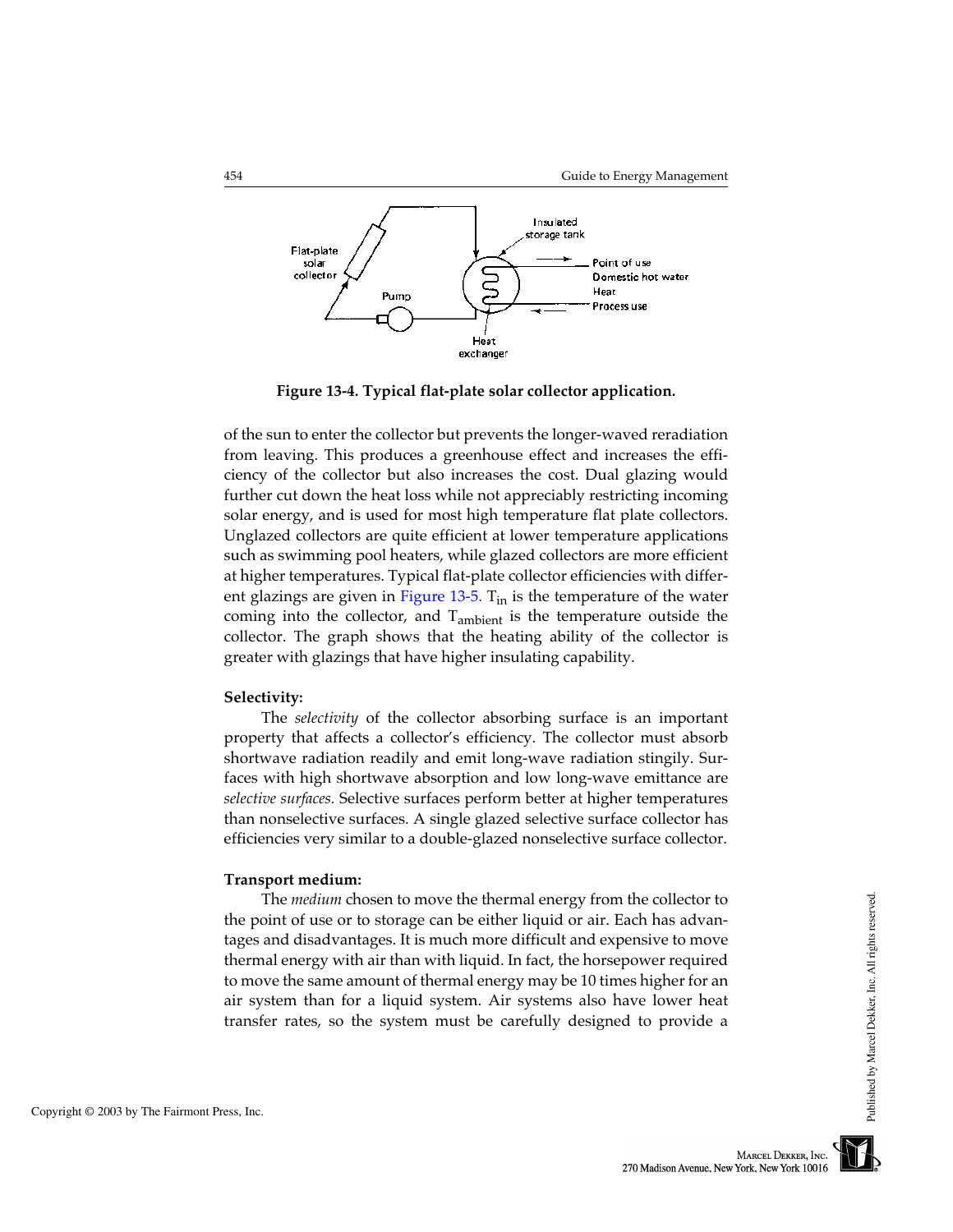<span id="page-7-0"></span>

**Figure 13-4. Typical flat-plate solar collector application.**

of the sun to enter the collector but prevents the longer-waved reradiation from leaving. This produces a greenhouse effect and increases the efficiency of the collector but also increases the cost. Dual glazing would further cut down the heat loss while not appreciably restricting incoming solar energy, and is used for most high temperature flat plate collectors. Unglazed collectors are quite efficient at lower temperature applications such as swimming pool heaters, while glazed collectors are more efficient at higher temperatures. Typical flat-plate collector efficiencies with differ-ent glazings are given in [Figure 13-5.](#page-8-0)  $T_{in}$  is the temperature of the water coming into the collector, and  $T_{ambient}$  is the temperature outside the collector. The graph shows that the heating ability of the collector is greater with glazings that have higher insulating capability.

# **Selectivity:**

The *selectivity* of the collector absorbing surface is an important property that affects a collector's efficiency. The collector must absorb shortwave radiation readily and emit long-wave radiation stingily. Surfaces with high shortwave absorption and low long-wave emittance are *selective surfaces.* Selective surfaces perform better at higher temperatures than nonselective surfaces. A single glazed selective surface collector has efficiencies very similar to a double-glazed nonselective surface collector.

# **Transport medium:**

The *medium* chosen to move the thermal energy from the collector to the point of use or to storage can be either liquid or air. Each has advantages and disadvantages. It is much more difficult and expensive to move thermal energy with air than with liquid. In fact, the horsepower required to move the same amount of thermal energy may be 10 times higher for an air system than for a liquid system. Air systems also have lower heat transfer rates, so the system must be carefully designed to provide a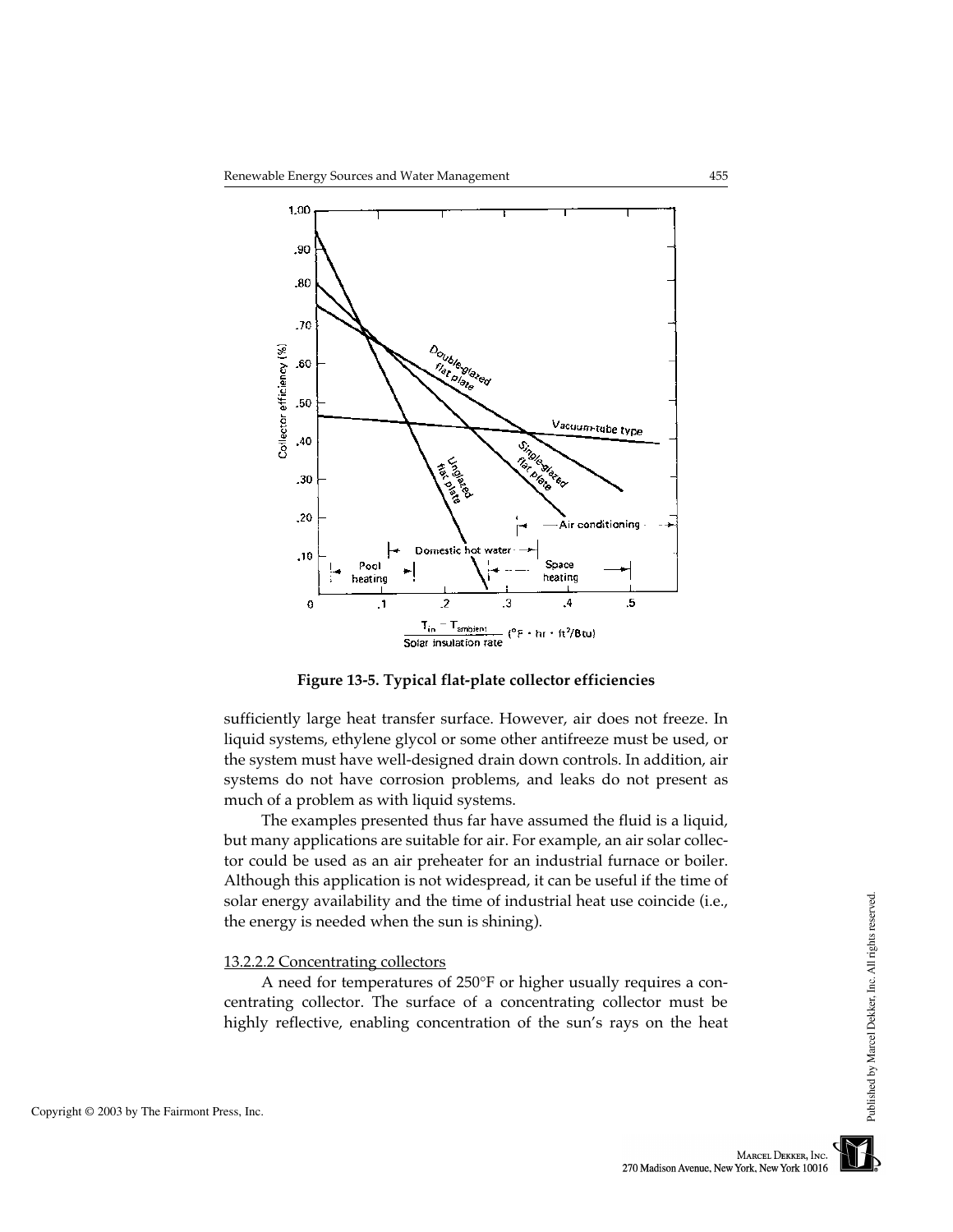<span id="page-8-0"></span>

**Figure 13-5. Typical flat-plate collector efficiencies**

sufficiently large heat transfer surface. However, air does not freeze. In liquid systems, ethylene glycol or some other antifreeze must be used, or the system must have well-designed drain down controls. In addition, air systems do not have corrosion problems, and leaks do not present as much of a problem as with liquid systems.

The examples presented thus far have assumed the fluid is a liquid, but many applications are suitable for air. For example, an air solar collector could be used as an air preheater for an industrial furnace or boiler. Although this application is not widespread, it can be useful if the time of solar energy availability and the time of industrial heat use coincide (i.e., the energy is needed when the sun is shining).

#### 13.2.2.2 Concentrating collectors

A need for temperatures of 250°F or higher usually requires a concentrating collector. The surface of a concentrating collector must be highly reflective, enabling concentration of the sun's rays on the heat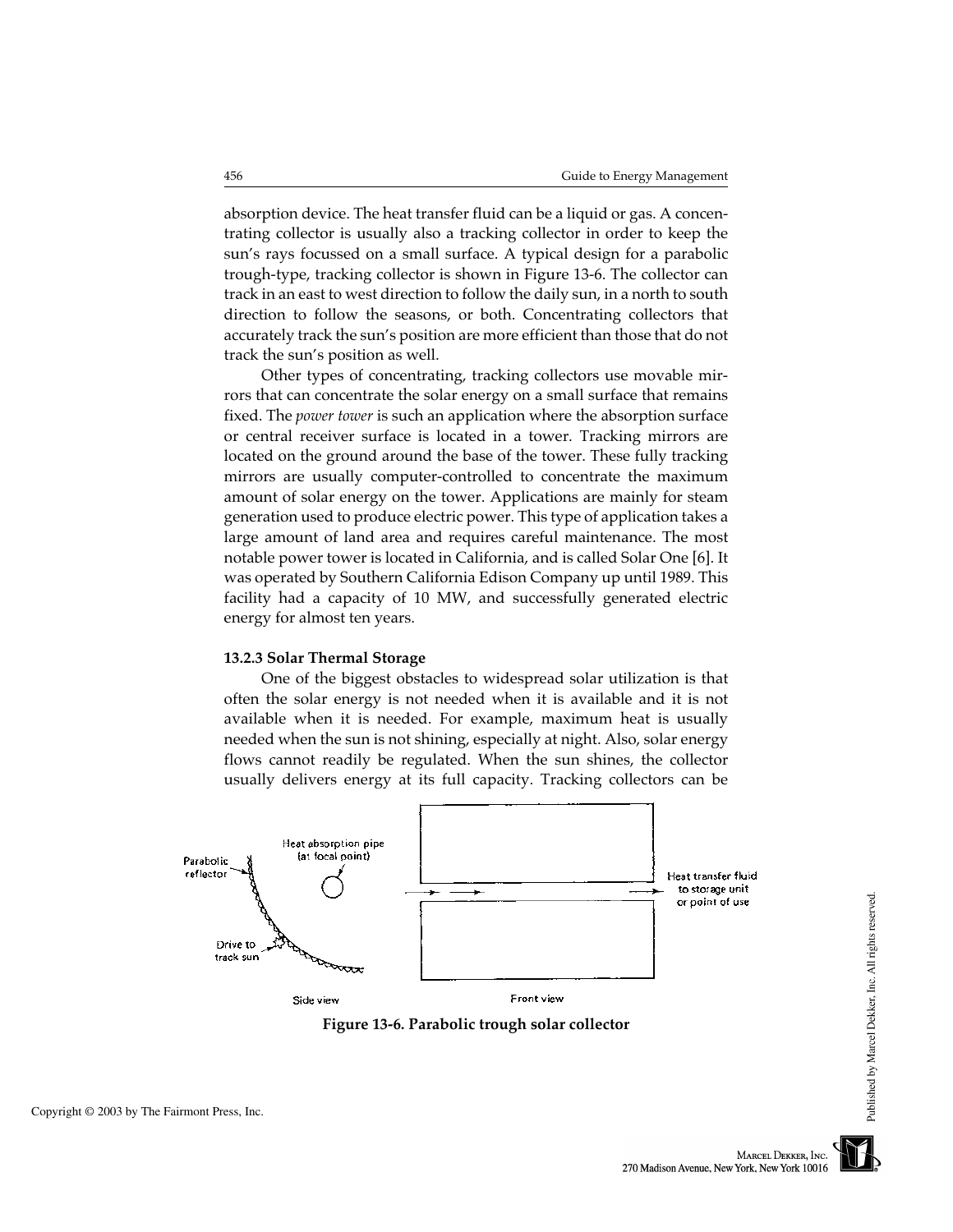absorption device. The heat transfer fluid can be a liquid or gas. A concentrating collector is usually also a tracking collector in order to keep the sun's rays focussed on a small surface. A typical design for a parabolic trough-type, tracking collector is shown in Figure 13-6. The collector can track in an east to west direction to follow the daily sun, in a north to south direction to follow the seasons, or both. Concentrating collectors that accurately track the sun's position are more efficient than those that do not track the sun's position as well.

Other types of concentrating, tracking collectors use movable mirrors that can concentrate the solar energy on a small surface that remains fixed. The *power tower* is such an application where the absorption surface or central receiver surface is located in a tower. Tracking mirrors are located on the ground around the base of the tower. These fully tracking mirrors are usually computer-controlled to concentrate the maximum amount of solar energy on the tower. Applications are mainly for steam generation used to produce electric power. This type of application takes a large amount of land area and requires careful maintenance. The most notable power tower is located in California, and is called Solar One [6]. It was operated by Southern California Edison Company up until 1989. This facility had a capacity of 10 MW, and successfully generated electric energy for almost ten years.

### **13.2.3 Solar Thermal Storage**

One of the biggest obstacles to widespread solar utilization is that often the solar energy is not needed when it is available and it is not available when it is needed. For example, maximum heat is usually needed when the sun is not shining, especially at night. Also, solar energy flows cannot readily be regulated. When the sun shines, the collector usually delivers energy at its full capacity. Tracking collectors can be



**Figure 13-6. Parabolic trough solar collector**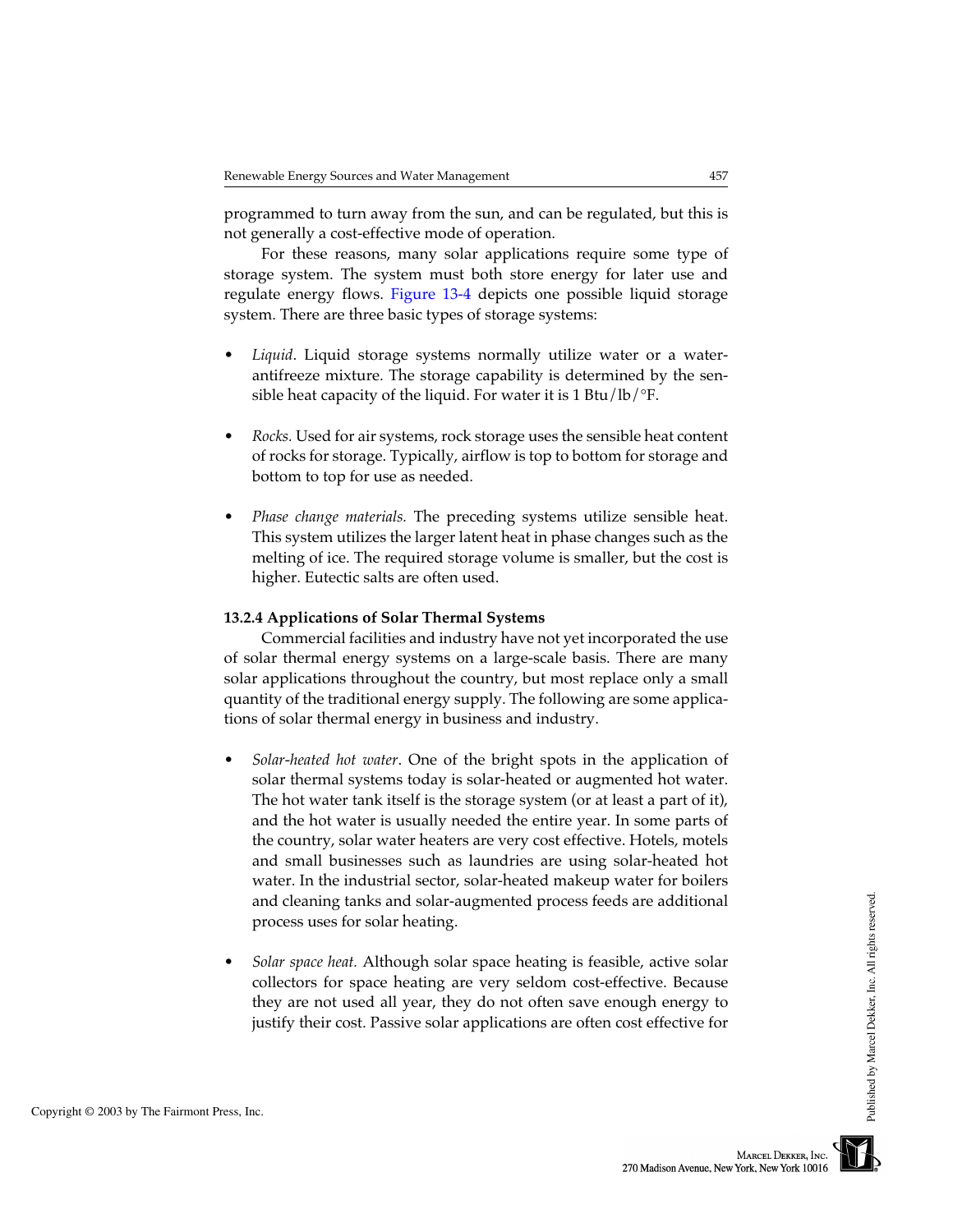programmed to turn away from the sun, and can be regulated, but this is not generally a cost-effective mode of operation.

For these reasons, many solar applications require some type of storage system. The system must both store energy for later use and regulate energy flows. [Figure 13-4](#page-7-0) depicts one possible liquid storage system. There are three basic types of storage systems:

- Liquid. Liquid storage systems normally utilize water or a waterantifreeze mixture. The storage capability is determined by the sensible heat capacity of the liquid. For water it is 1 Btu/lb/ $\rm{^{\circ}F}.$
- *Rocks.* Used for air systems, rock storage uses the sensible heat content of rocks for storage. Typically, airflow is top to bottom for storage and bottom to top for use as needed.
- *Phase change materials.* The preceding systems utilize sensible heat. This system utilizes the larger latent heat in phase changes such as the melting of ice. The required storage volume is smaller, but the cost is higher. Eutectic salts are often used.

# **13.2.4 Applications of Solar Thermal Systems**

Commercial facilities and industry have not yet incorporated the use of solar thermal energy systems on a large-scale basis. There are many solar applications throughout the country, but most replace only a small quantity of the traditional energy supply. The following are some applications of solar thermal energy in business and industry.

- *Solar-heated hot water*. One of the bright spots in the application of solar thermal systems today is solar-heated or augmented hot water. The hot water tank itself is the storage system (or at least a part of it), and the hot water is usually needed the entire year. In some parts of the country, solar water heaters are very cost effective. Hotels, motels and small businesses such as laundries are using solar-heated hot water. In the industrial sector, solar-heated makeup water for boilers and cleaning tanks and solar-augmented process feeds are additional process uses for solar heating.
- *Solar space heat.* Although solar space heating is feasible, active solar collectors for space heating are very seldom cost-effective. Because they are not used all year, they do not often save enough energy to justify their cost. Passive solar applications are often cost effective for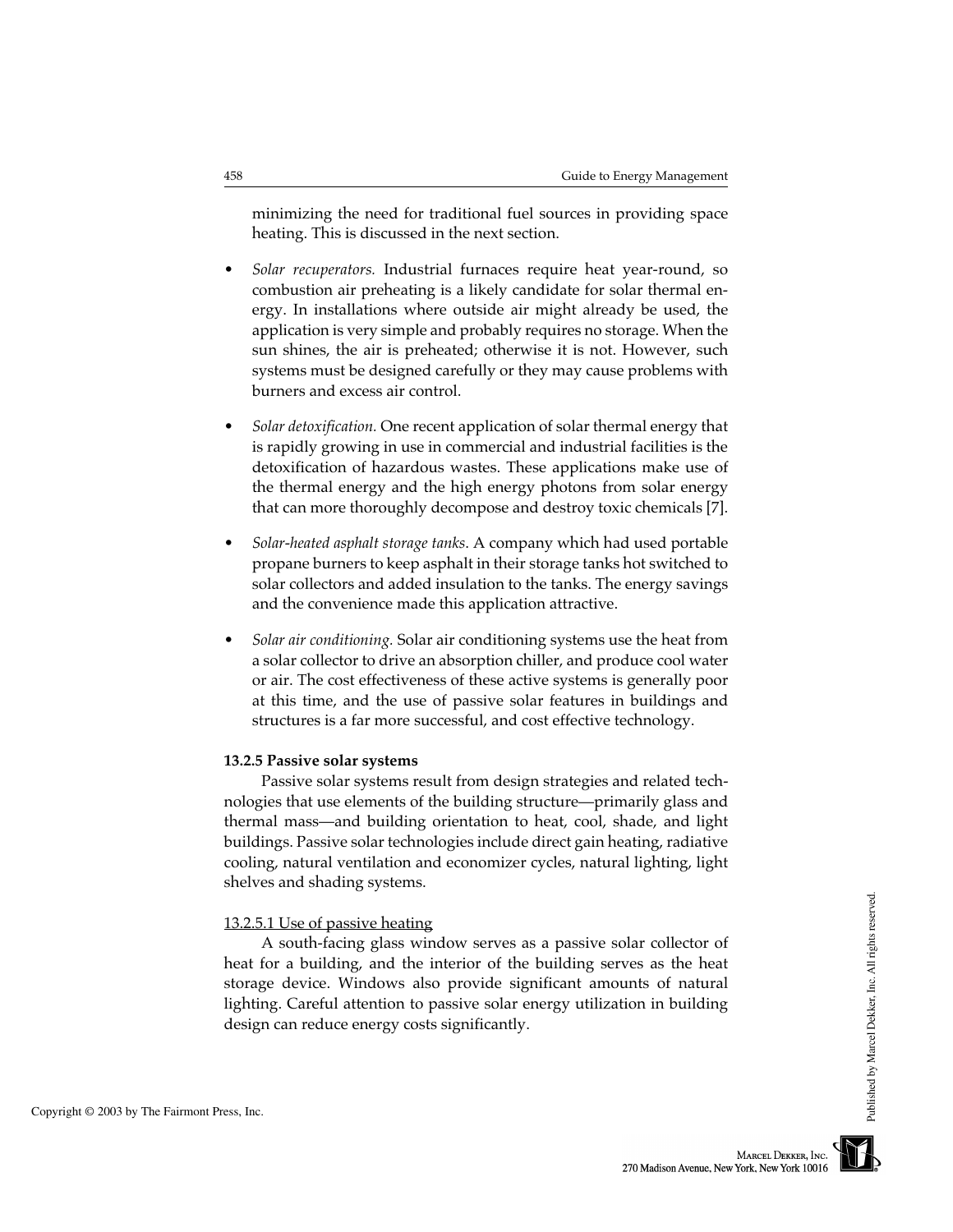minimizing the need for traditional fuel sources in providing space heating. This is discussed in the next section.

- *Solar recuperators.* Industrial furnaces require heat year-round, so combustion air preheating is a likely candidate for solar thermal energy. In installations where outside air might already be used, the application is very simple and probably requires no storage. When the sun shines, the air is preheated; otherwise it is not. However, such systems must be designed carefully or they may cause problems with burners and excess air control.
- *Solar detoxification.* One recent application of solar thermal energy that is rapidly growing in use in commercial and industrial facilities is the detoxification of hazardous wastes. These applications make use of the thermal energy and the high energy photons from solar energy that can more thoroughly decompose and destroy toxic chemicals [7].
- *Solar-heated asphalt storage tanks*. A company which had used portable propane burners to keep asphalt in their storage tanks hot switched to solar collectors and added insulation to the tanks. The energy savings and the convenience made this application attractive.
- *Solar air conditioning*. Solar air conditioning systems use the heat from a solar collector to drive an absorption chiller, and produce cool water or air. The cost effectiveness of these active systems is generally poor at this time, and the use of passive solar features in buildings and structures is a far more successful, and cost effective technology.

# **13.2.5 Passive solar systems**

Passive solar systems result from design strategies and related technologies that use elements of the building structure—primarily glass and thermal mass—and building orientation to heat, cool, shade, and light buildings. Passive solar technologies include direct gain heating, radiative cooling, natural ventilation and economizer cycles, natural lighting, light shelves and shading systems.

# 13.2.5.1 Use of passive heating

A south-facing glass window serves as a passive solar collector of heat for a building, and the interior of the building serves as the heat storage device. Windows also provide significant amounts of natural lighting. Careful attention to passive solar energy utilization in building design can reduce energy costs significantly.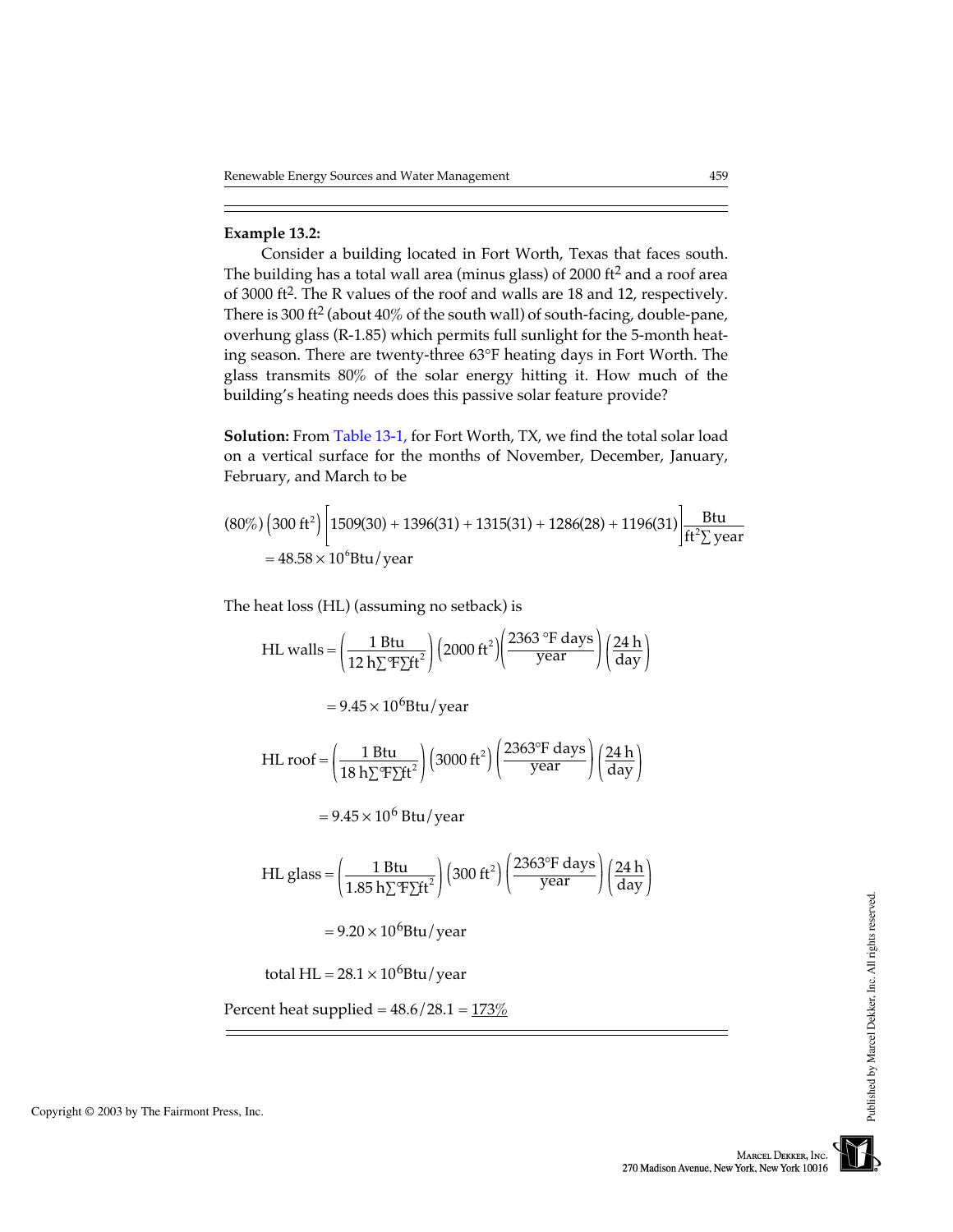# **Example 13.2:**

Consider a building located in Fort Worth, Texas that faces south. The building has a total wall area (minus glass) of 2000 ft<sup>2</sup> and a roof area of 3000 ft2. The R values of the roof and walls are 18 and 12, respectively. There is 300 ft<sup>2</sup> (about  $40\%$  of the south wall) of south-facing, double-pane, overhung glass (R-1.85) which permits full sunlight for the 5-month heating season. There are twenty-three 63°F heating days in Fort Worth. The glass transmits 80% of the solar energy hitting it. How much of the building's heating needs does this passive solar feature provide?

**Solution:** From [Table 13-1,](#page-3-0) for Fort Worth, TX, we find the total solar load on a vertical surface for the months of November, December, January, February, and March to be

$$
(80\%) \left(300 \text{ ft}^2\right) \left[1509(30) + 1396(31) + 1315(31) + 1286(28) + 1196(31)\right] \frac{\text{Btu}}{\text{ft}^2 \Sigma \text{ year}}
$$
  
= 48.58 × 10<sup>6</sup> Btu/ year

The heat loss (HL) (assuming no setback) is

HL walls = 
$$
\left(\frac{1 \text{ Btu}}{12 \text{ h}\Sigma \text{F}\Sigma \text{ft}^2}\right) (2000 \text{ ft}^2) \left(\frac{2363 \text{ °F days}}{\text{year}}\right) \left(\frac{24 \text{ h}}{\text{day}}\right)
$$
  
\n=  $9.45 \times 10^6 \text{Btu}/\text{year}$   
\nHL roof =  $\left(\frac{1 \text{ Btu}}{18 \text{ h}\Sigma \text{ F}\Sigma \text{ft}^2}\right) (3000 \text{ ft}^2) \left(\frac{2363^{\circ} \text{F days}}{\text{year}}\right) \left(\frac{24 \text{ h}}{\text{day}}\right)$   
\n=  $9.45 \times 10^6 \text{ Btu}/\text{year}$   
\nHL glass =  $\left(\frac{1 \text{ Btu}}{1.85 \text{ h}\Sigma \text{ F}\Sigma \text{ft}^2}\right) (300 \text{ ft}^2) \left(\frac{2363^{\circ} \text{F days}}{\text{year}}\right) \left(\frac{24 \text{ h}}{\text{day}}\right)$   
\n=  $9.20 \times 10^6 \text{Btu}/\text{year}$   
\ntotal HL =  $28.1 \times 10^6 \text{Btu}/\text{year}$ 

Percent heat supplied =  $48.6/28.1 = 173\%$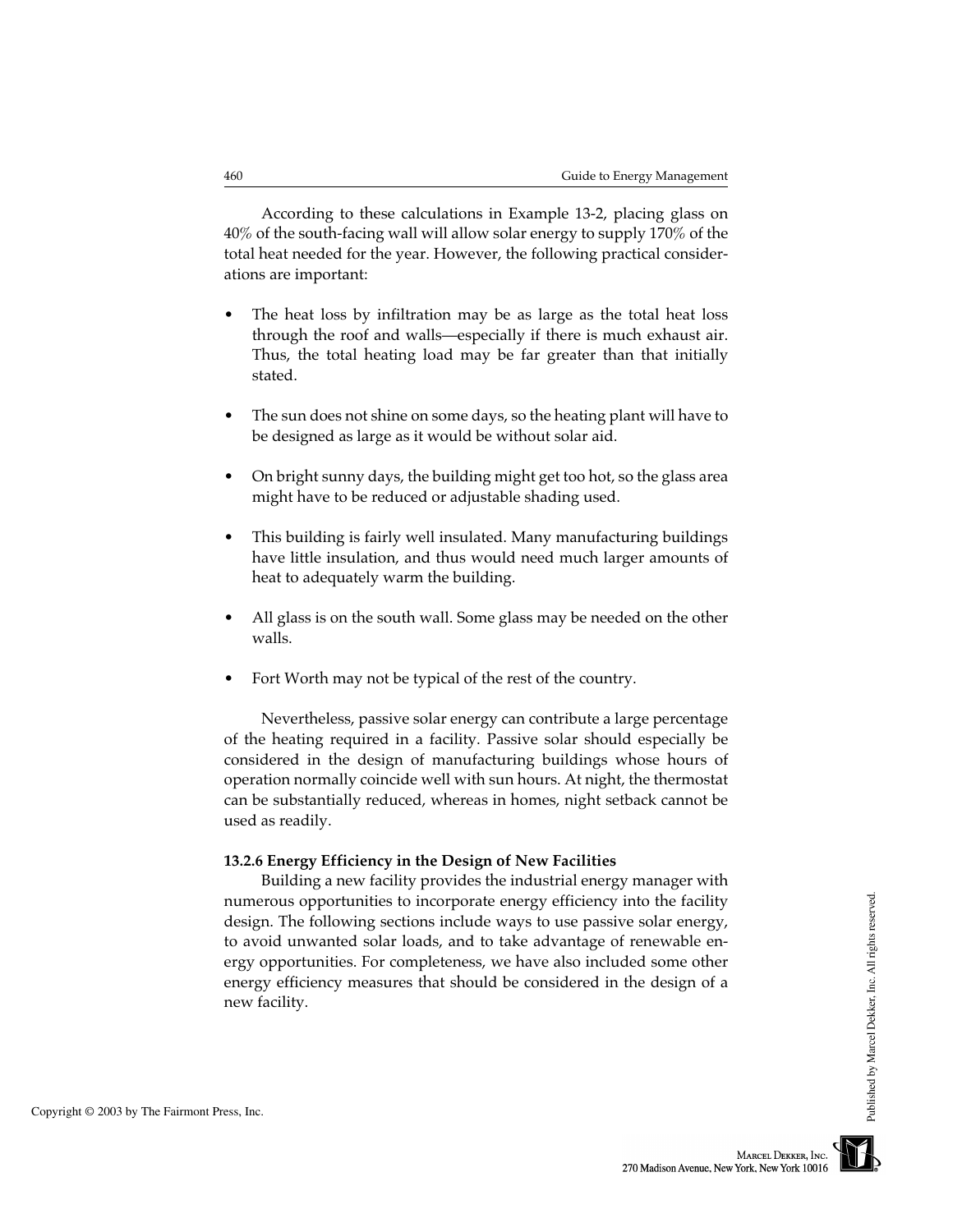According to these calculations in Example 13-2, placing glass on 40% of the south-facing wall will allow solar energy to supply 170% of the total heat needed for the year. However, the following practical considerations are important:

- The heat loss by infiltration may be as large as the total heat loss through the roof and walls—especially if there is much exhaust air. Thus, the total heating load may be far greater than that initially stated.
- The sun does not shine on some days, so the heating plant will have to be designed as large as it would be without solar aid.
- On bright sunny days, the building might get too hot, so the glass area might have to be reduced or adjustable shading used.
- This building is fairly well insulated. Many manufacturing buildings have little insulation, and thus would need much larger amounts of heat to adequately warm the building.
- All glass is on the south wall. Some glass may be needed on the other walls.
- Fort Worth may not be typical of the rest of the country.

Nevertheless, passive solar energy can contribute a large percentage of the heating required in a facility. Passive solar should especially be considered in the design of manufacturing buildings whose hours of operation normally coincide well with sun hours. At night, the thermostat can be substantially reduced, whereas in homes, night setback cannot be used as readily.

# **13.2.6 Energy Efficiency in the Design of New Facilities**

Building a new facility provides the industrial energy manager with numerous opportunities to incorporate energy efficiency into the facility design. The following sections include ways to use passive solar energy, to avoid unwanted solar loads, and to take advantage of renewable energy opportunities. For completeness, we have also included some other energy efficiency measures that should be considered in the design of a new facility.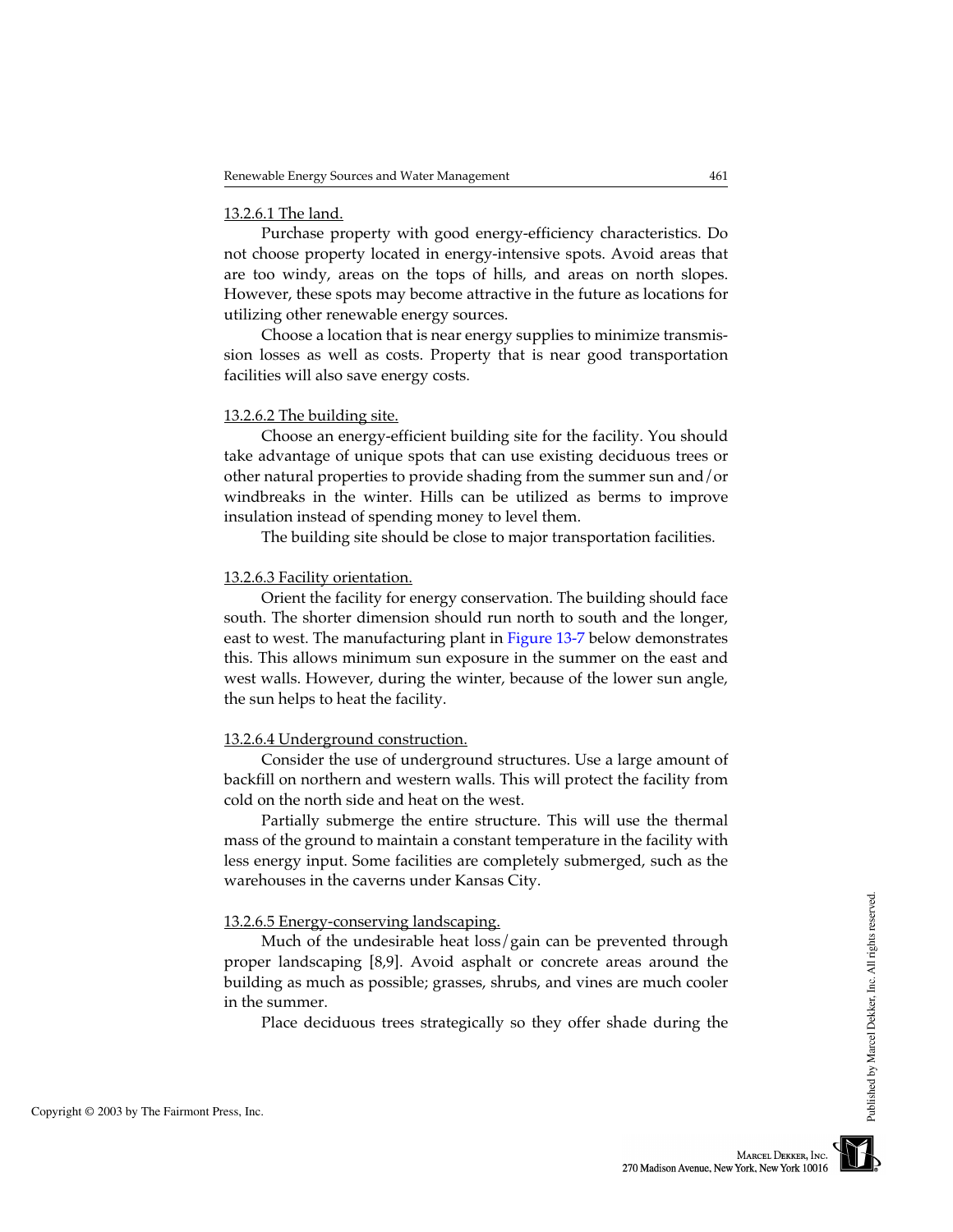### 13.2.6.1 The land.

Purchase property with good energy-efficiency characteristics. Do not choose property located in energy-intensive spots. Avoid areas that are too windy, areas on the tops of hills, and areas on north slopes. However, these spots may become attractive in the future as locations for utilizing other renewable energy sources.

Choose a location that is near energy supplies to minimize transmission losses as well as costs. Property that is near good transportation facilities will also save energy costs.

# 13.2.6.2 The building site.

Choose an energy-efficient building site for the facility. You should take advantage of unique spots that can use existing deciduous trees or other natural properties to provide shading from the summer sun and/or windbreaks in the winter. Hills can be utilized as berms to improve insulation instead of spending money to level them.

The building site should be close to major transportation facilities.

## 13.2.6.3 Facility orientation.

Orient the facility for energy conservation. The building should face south. The shorter dimension should run north to south and the longer, east to west. The manufacturing plant in [Figure 13-7](#page-15-0) below demonstrates this. This allows minimum sun exposure in the summer on the east and west walls. However, during the winter, because of the lower sun angle, the sun helps to heat the facility.

# 13.2.6.4 Underground construction.

Consider the use of underground structures. Use a large amount of backfill on northern and western walls. This will protect the facility from cold on the north side and heat on the west.

Partially submerge the entire structure. This will use the thermal mass of the ground to maintain a constant temperature in the facility with less energy input. Some facilities are completely submerged, such as the warehouses in the caverns under Kansas City.

### 13.2.6.5 Energy-conserving landscaping.

Much of the undesirable heat loss/gain can be prevented through proper landscaping [8,9]. Avoid asphalt or concrete areas around the building as much as possible; grasses, shrubs, and vines are much cooler in the summer.

Place deciduous trees strategically so they offer shade during the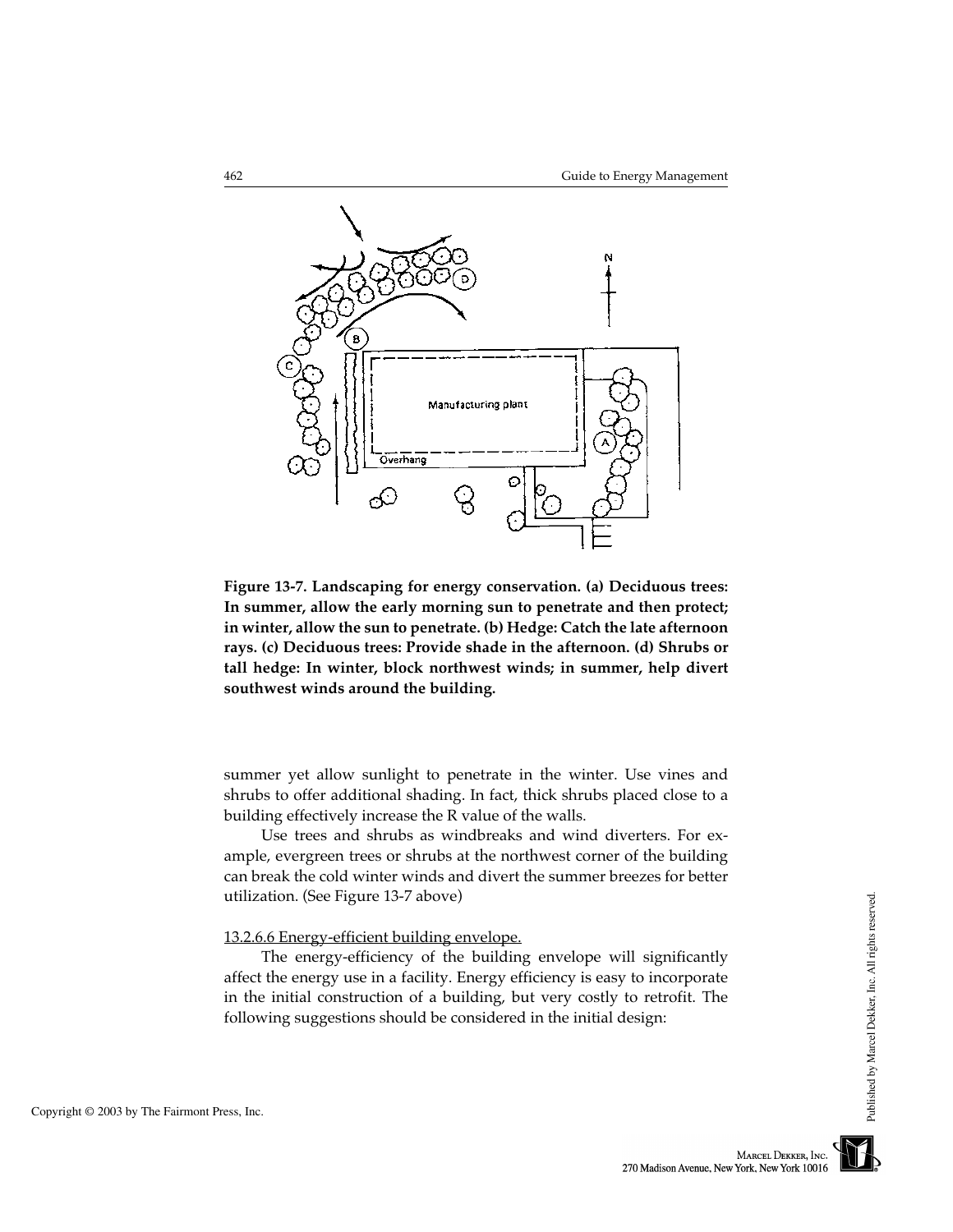<span id="page-15-0"></span>

**Figure 13-7. Landscaping for energy conservation. (a) Deciduous trees: In summer, allow the early morning sun to penetrate and then protect; in winter, allow the sun to penetrate. (b) Hedge: Catch the late afternoon rays. (c) Deciduous trees: Provide shade in the afternoon. (d) Shrubs or tall hedge: In winter, block northwest winds; in summer, help divert southwest winds around the building.**

summer yet allow sunlight to penetrate in the winter. Use vines and shrubs to offer additional shading. In fact, thick shrubs placed close to a building effectively increase the R value of the walls.

Use trees and shrubs as windbreaks and wind diverters. For example, evergreen trees or shrubs at the northwest corner of the building can break the cold winter winds and divert the summer breezes for better utilization. (See Figure 13-7 above)

#### 13.2.6.6 Energy-efficient building envelope.

The energy-efficiency of the building envelope will significantly affect the energy use in a facility. Energy efficiency is easy to incorporate in the initial construction of a building, but very costly to retrofit. The following suggestions should be considered in the initial design: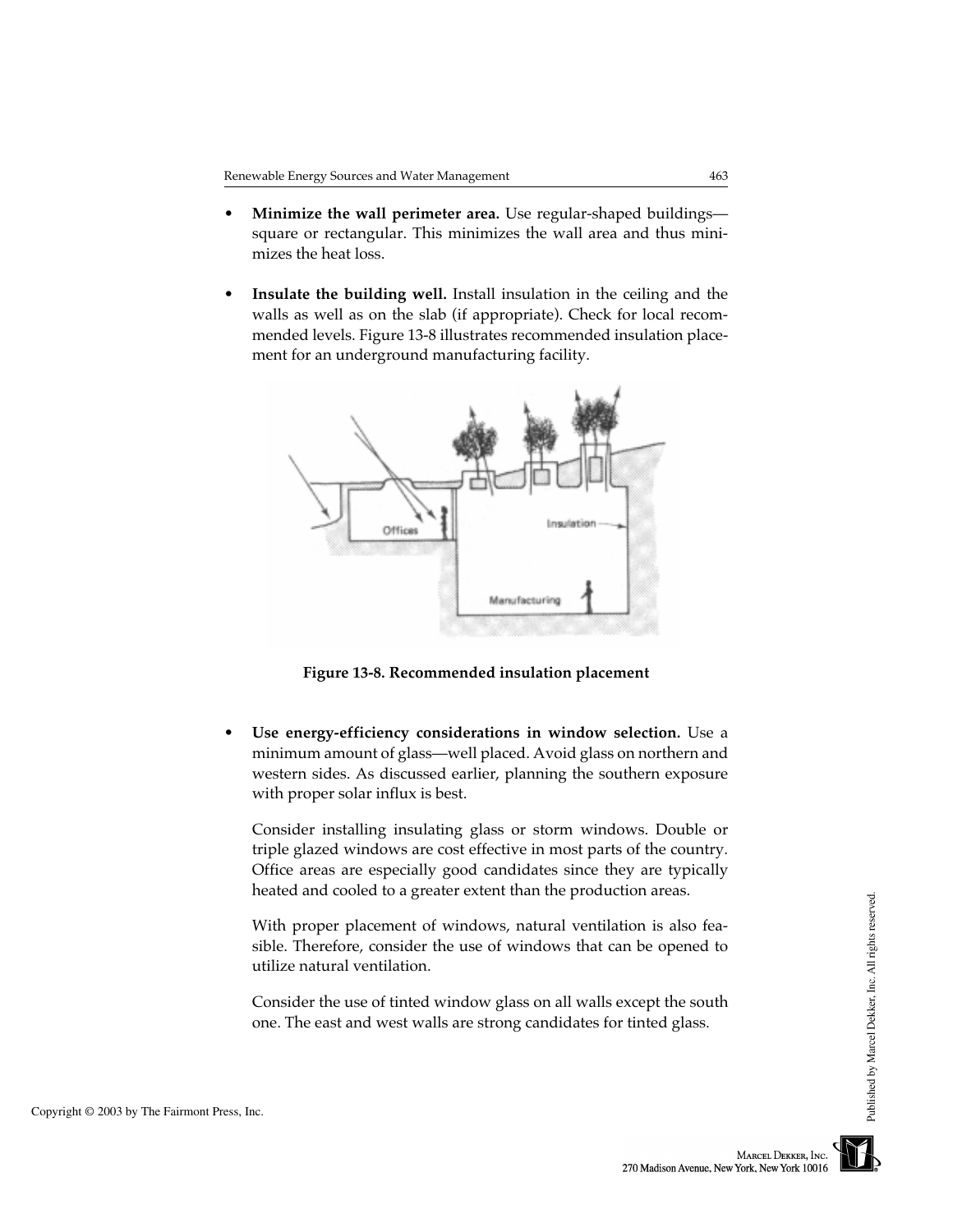- **Minimize the wall perimeter area.** Use regular-shaped buildings square or rectangular. This minimizes the wall area and thus minimizes the heat loss.
- **Insulate the building well.** Install insulation in the ceiling and the walls as well as on the slab (if appropriate). Check for local recommended levels. Figure 13-8 illustrates recommended insulation placement for an underground manufacturing facility.



**Figure 13-8. Recommended insulation placement**

• **Use energy-efficiency considerations in window selection.** Use a minimum amount of glass—well placed. Avoid glass on northern and western sides. As discussed earlier, planning the southern exposure with proper solar influx is best.

Consider installing insulating glass or storm windows. Double or triple glazed windows are cost effective in most parts of the country. Office areas are especially good candidates since they are typically heated and cooled to a greater extent than the production areas.

With proper placement of windows, natural ventilation is also feasible. Therefore, consider the use of windows that can be opened to utilize natural ventilation.

Consider the use of tinted window glass on all walls except the south one. The east and west walls are strong candidates for tinted glass.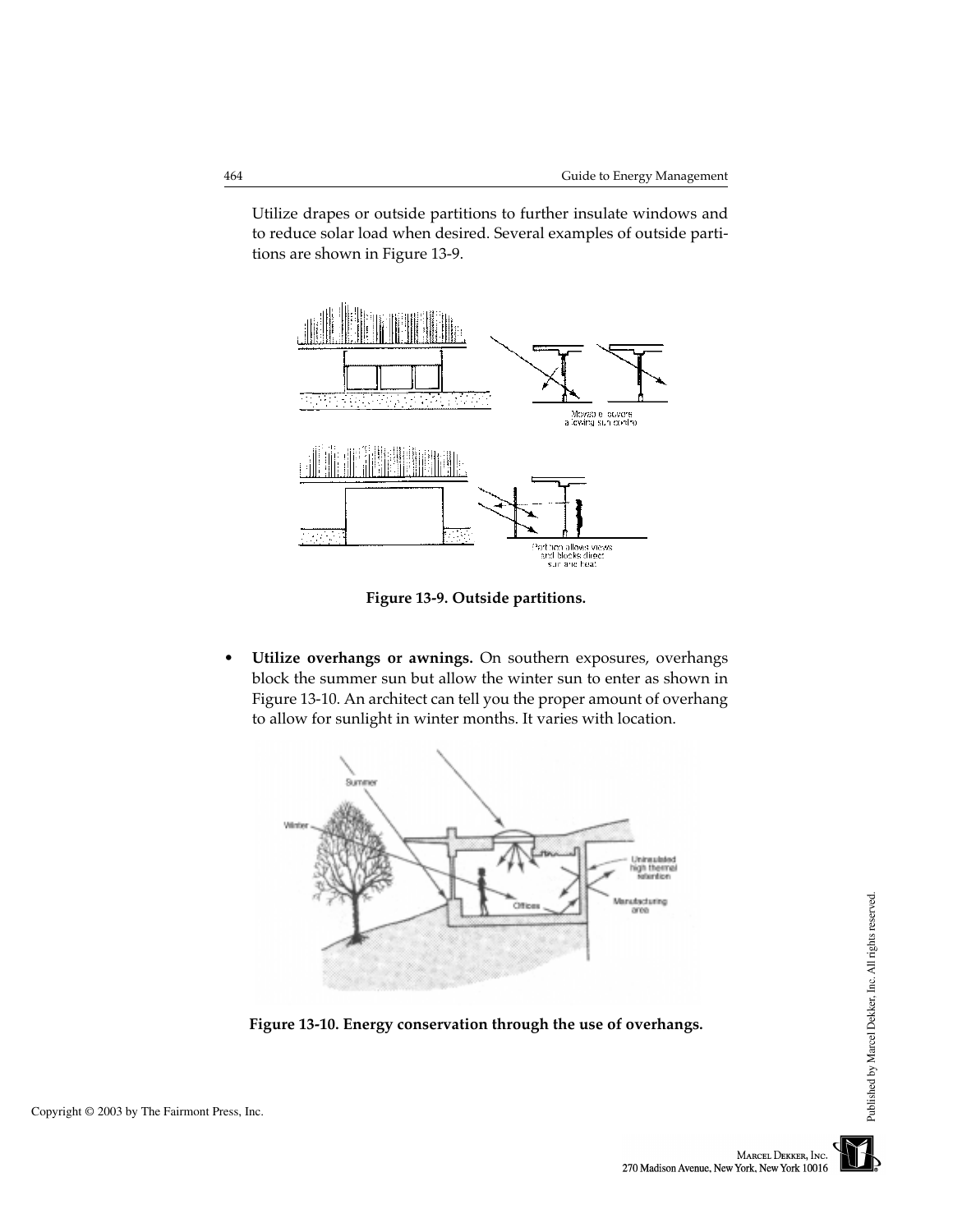<span id="page-17-0"></span>Utilize drapes or outside partitions to further insulate windows and to reduce solar load when desired. Several examples of outside partitions are shown in Figure 13-9.



**Figure 13-9. Outside partitions.**

• **Utilize overhangs or awnings.** On southern exposures, overhangs block the summer sun but allow the winter sun to enter as shown in Figure 13-10. An architect can tell you the proper amount of overhang to allow for sunlight in winter months. It varies with location.



**Figure 13-10. Energy conservation through the use of overhangs.**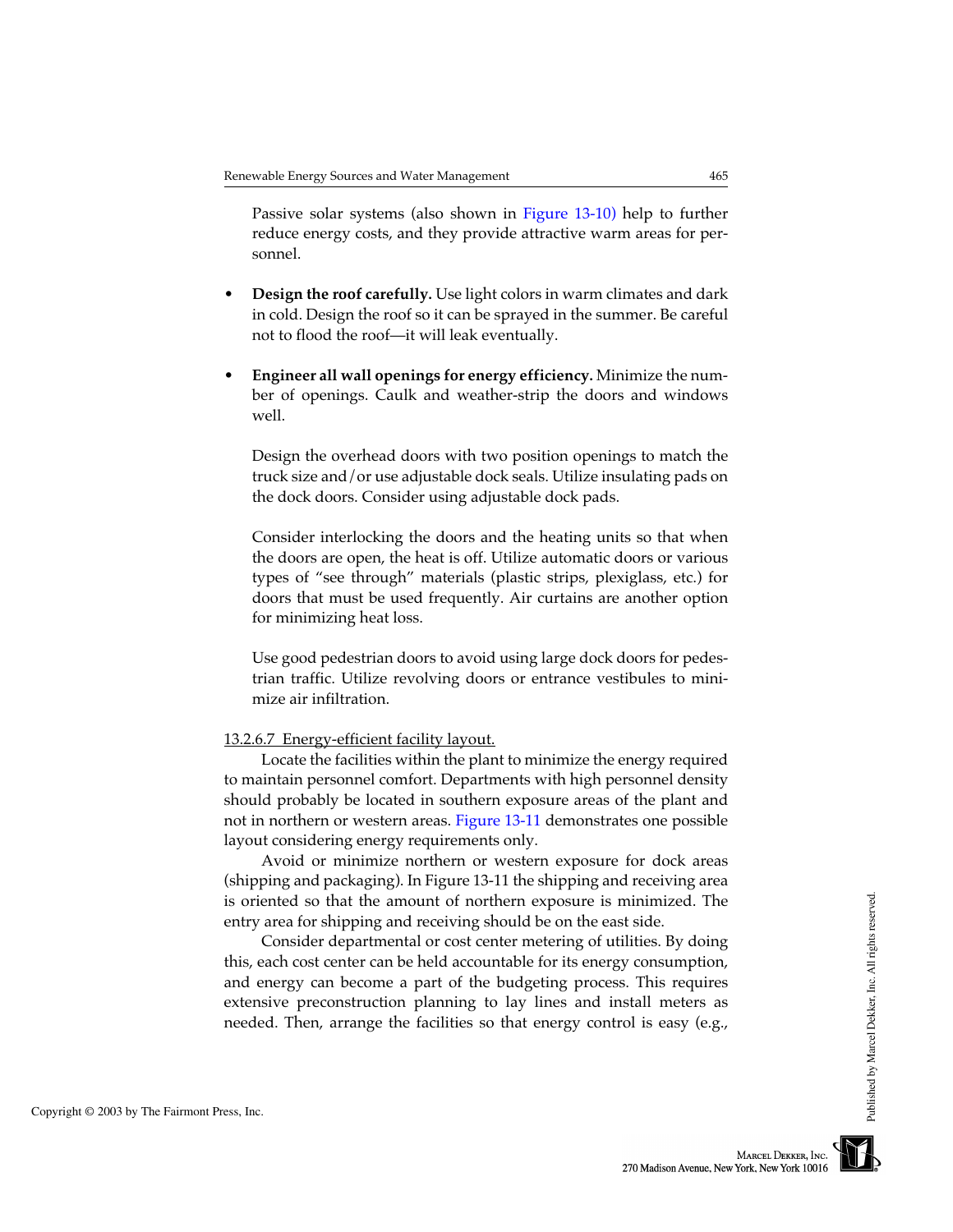Passive solar systems (also shown in [Figure 13-10\)](#page-17-0) help to further reduce energy costs, and they provide attractive warm areas for personnel.

- **Design the roof carefully.** Use light colors in warm climates and dark in cold. Design the roof so it can be sprayed in the summer. Be careful not to flood the roof—it will leak eventually.
- **Engineer all wall openings for energy efficiency.** Minimize the number of openings. Caulk and weather-strip the doors and windows well.

Design the overhead doors with two position openings to match the truck size and/or use adjustable dock seals. Utilize insulating pads on the dock doors. Consider using adjustable dock pads.

Consider interlocking the doors and the heating units so that when the doors are open, the heat is off. Utilize automatic doors or various types of "see through" materials (plastic strips, plexiglass, etc.) for doors that must be used frequently. Air curtains are another option for minimizing heat loss.

Use good pedestrian doors to avoid using large dock doors for pedestrian traffic. Utilize revolving doors or entrance vestibules to minimize air infiltration.

# 13.2.6.7 Energy-efficient facility layout.

Locate the facilities within the plant to minimize the energy required to maintain personnel comfort. Departments with high personnel density should probably be located in southern exposure areas of the plant and not in northern or western areas[. Figure 13-11](#page-19-0) demonstrates one possible layout considering energy requirements only.

Avoid or minimize northern or western exposure for dock areas (shipping and packaging). In Figure 13-11 the shipping and receiving area is oriented so that the amount of northern exposure is minimized. The entry area for shipping and receiving should be on the east side.

Consider departmental or cost center metering of utilities. By doing this, each cost center can be held accountable for its energy consumption, and energy can become a part of the budgeting process. This requires extensive preconstruction planning to lay lines and install meters as needed. Then, arrange the facilities so that energy control is easy (e.g.,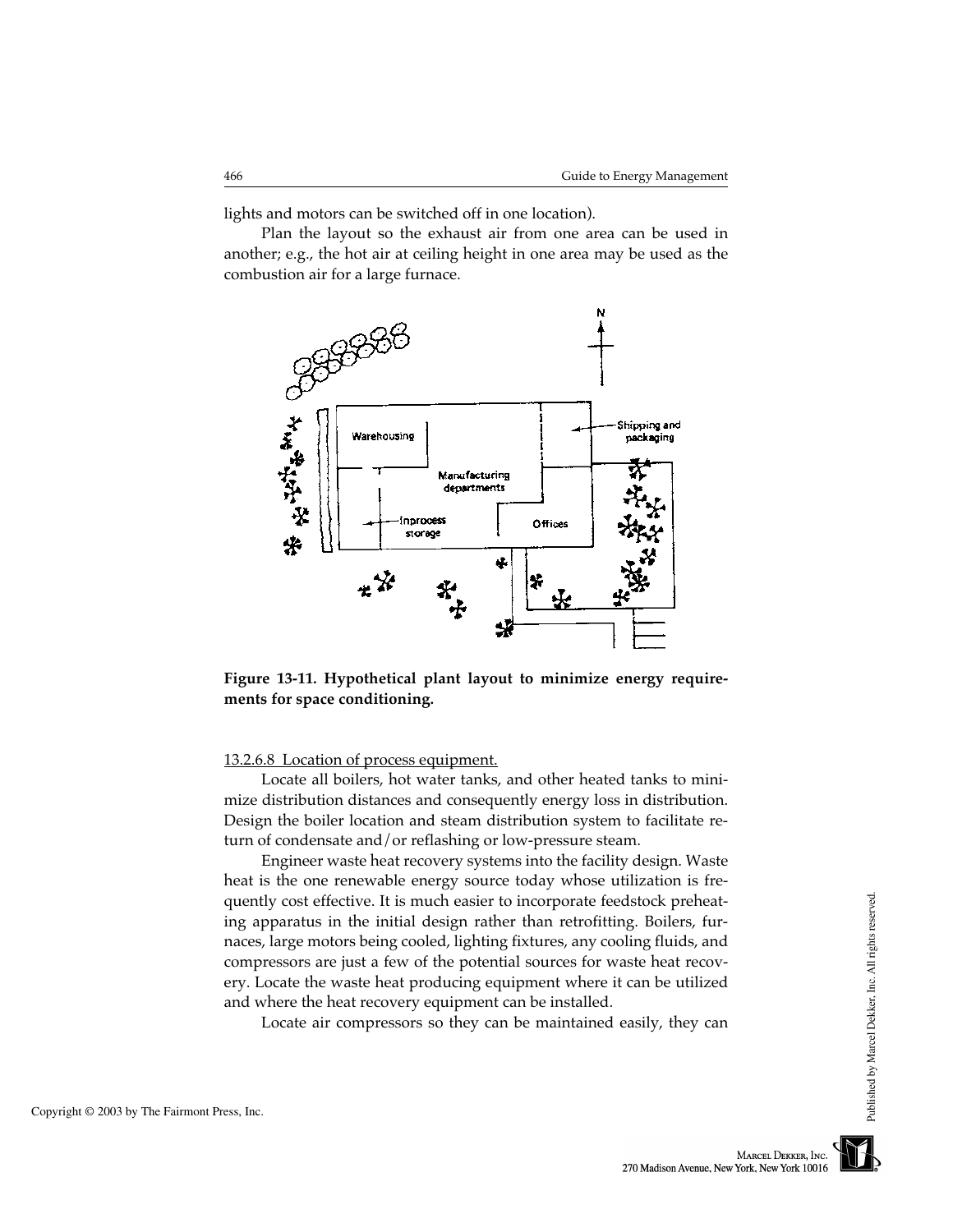<span id="page-19-0"></span>lights and motors can be switched off in one location).

Plan the layout so the exhaust air from one area can be used in another; e.g., the hot air at ceiling height in one area may be used as the combustion air for a large furnace.



**Figure 13-11. Hypothetical plant layout to minimize energy requirements for space conditioning.**

13.2.6.8 Location of process equipment.

Locate all boilers, hot water tanks, and other heated tanks to minimize distribution distances and consequently energy loss in distribution. Design the boiler location and steam distribution system to facilitate return of condensate and/or reflashing or low-pressure steam.

Engineer waste heat recovery systems into the facility design. Waste heat is the one renewable energy source today whose utilization is frequently cost effective. It is much easier to incorporate feedstock preheating apparatus in the initial design rather than retrofitting. Boilers, furnaces, large motors being cooled, lighting fixtures, any cooling fluids, and compressors are just a few of the potential sources for waste heat recovery. Locate the waste heat producing equipment where it can be utilized and where the heat recovery equipment can be installed.

Locate air compressors so they can be maintained easily, they can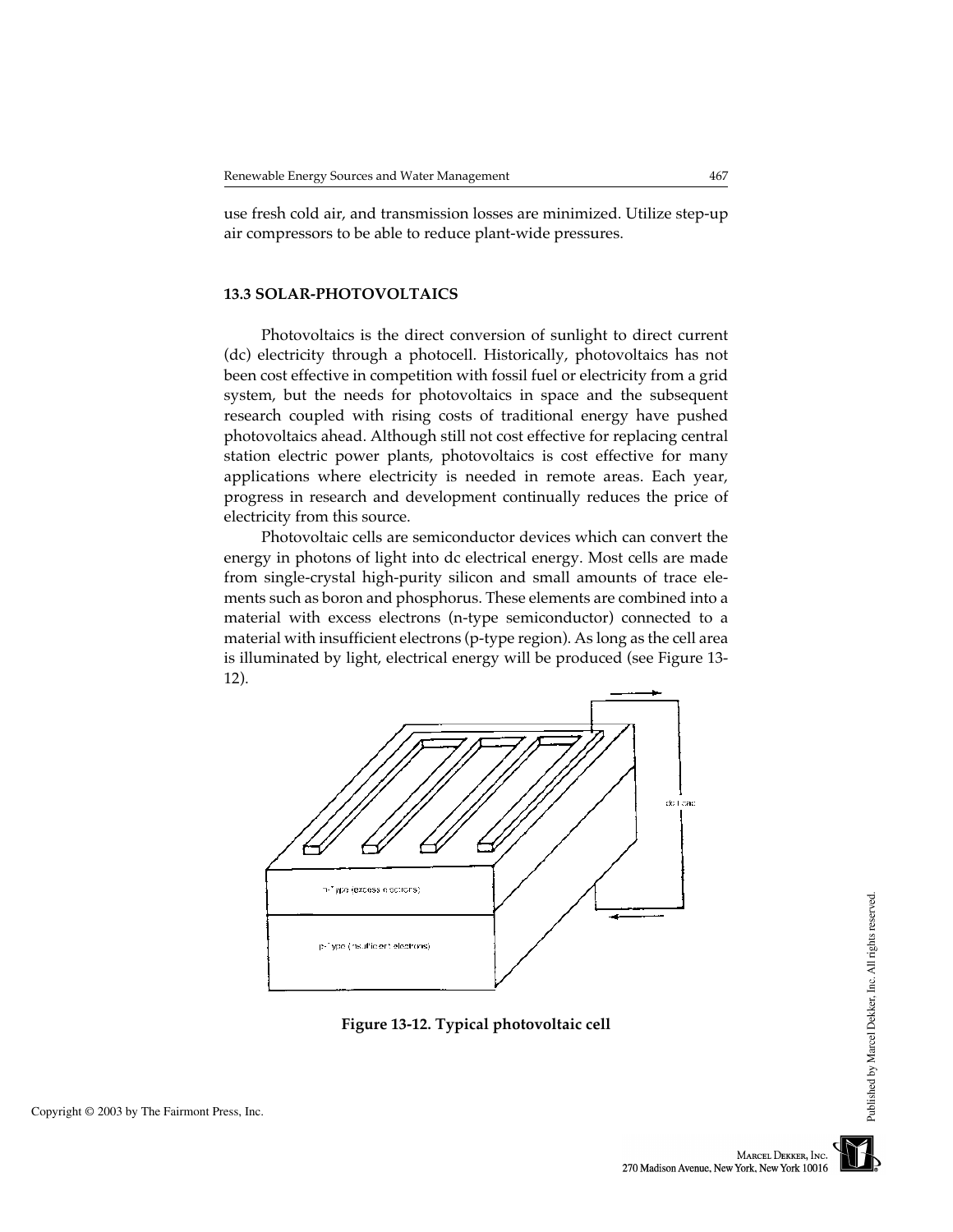use fresh cold air, and transmission losses are minimized. Utilize step-up air compressors to be able to reduce plant-wide pressures.

#### **13.3 SOLAR-PHOTOVOLTAICS**

Photovoltaics is the direct conversion of sunlight to direct current (dc) electricity through a photocell. Historically, photovoltaics has not been cost effective in competition with fossil fuel or electricity from a grid system, but the needs for photovoltaics in space and the subsequent research coupled with rising costs of traditional energy have pushed photovoltaics ahead. Although still not cost effective for replacing central station electric power plants, photovoltaics is cost effective for many applications where electricity is needed in remote areas. Each year, progress in research and development continually reduces the price of electricity from this source.

Photovoltaic cells are semiconductor devices which can convert the energy in photons of light into dc electrical energy. Most cells are made from single-crystal high-purity silicon and small amounts of trace elements such as boron and phosphorus. These elements are combined into a material with excess electrons (n-type semiconductor) connected to a material with insufficient electrons (p-type region). As long as the cell area is illuminated by light, electrical energy will be produced (see Figure 13- 12).



**Figure 13-12. Typical photovoltaic cell**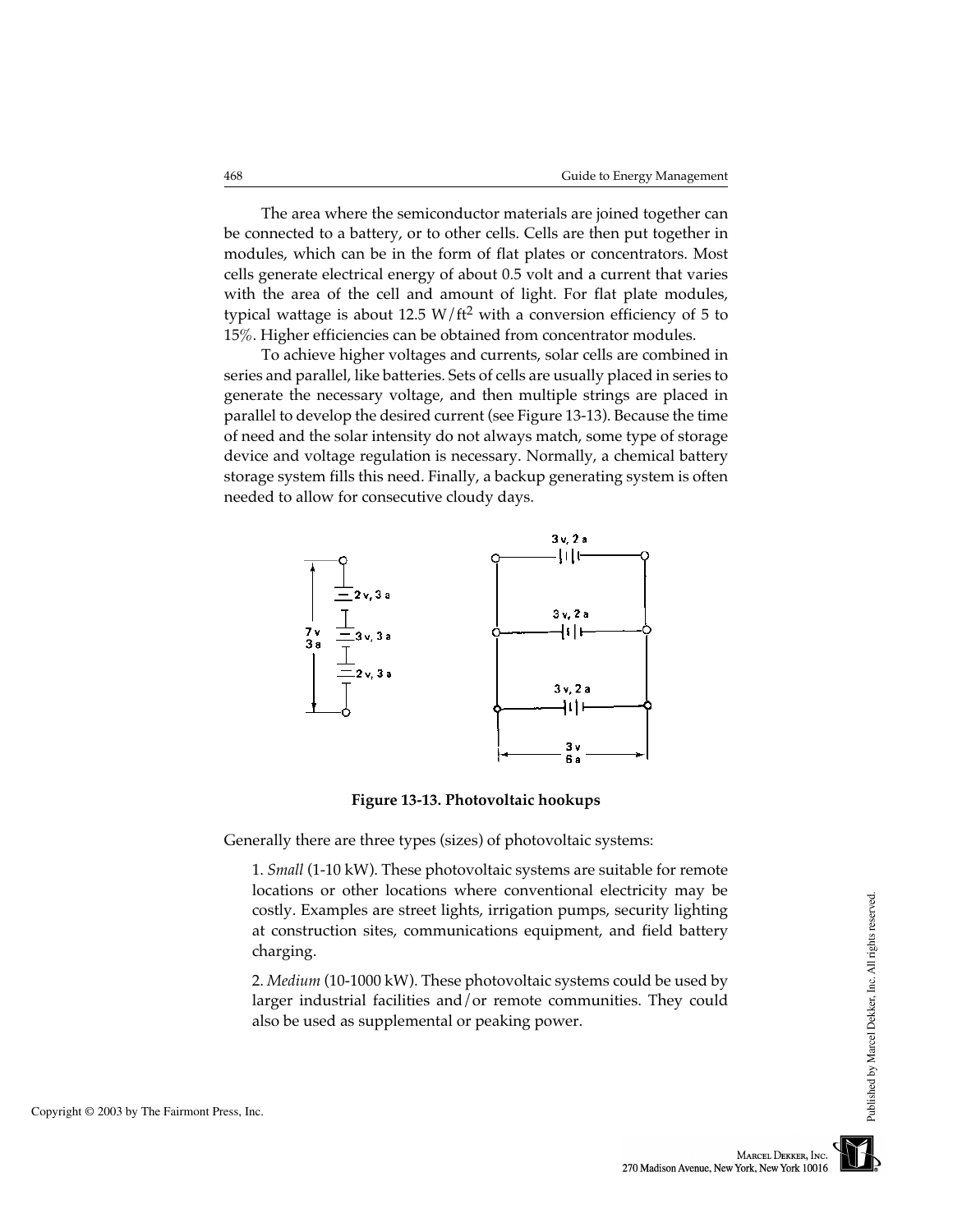The area where the semiconductor materials are joined together can be connected to a battery, or to other cells. Cells are then put together in modules, which can be in the form of flat plates or concentrators. Most cells generate electrical energy of about 0.5 volt and a current that varies with the area of the cell and amount of light. For flat plate modules, typical wattage is about 12.5 W/ft<sup>2</sup> with a conversion efficiency of 5 to 15%. Higher efficiencies can be obtained from concentrator modules.

To achieve higher voltages and currents, solar cells are combined in series and parallel, like batteries. Sets of cells are usually placed in series to generate the necessary voltage, and then multiple strings are placed in parallel to develop the desired current (see Figure 13-13). Because the time of need and the solar intensity do not always match, some type of storage device and voltage regulation is necessary. Normally, a chemical battery storage system fills this need. Finally, a backup generating system is often needed to allow for consecutive cloudy days.



**Figure 13-13. Photovoltaic hookups**

Generally there are three types (sizes) of photovoltaic systems:

1. *Small* (1-10 kW). These photovoltaic systems are suitable for remote locations or other locations where conventional electricity may be costly. Examples are street lights, irrigation pumps, security lighting at construction sites, communications equipment, and field battery charging.

2. *Medium* (10-1000 kW). These photovoltaic systems could be used by larger industrial facilities and/or remote communities. They could also be used as supplemental or peaking power.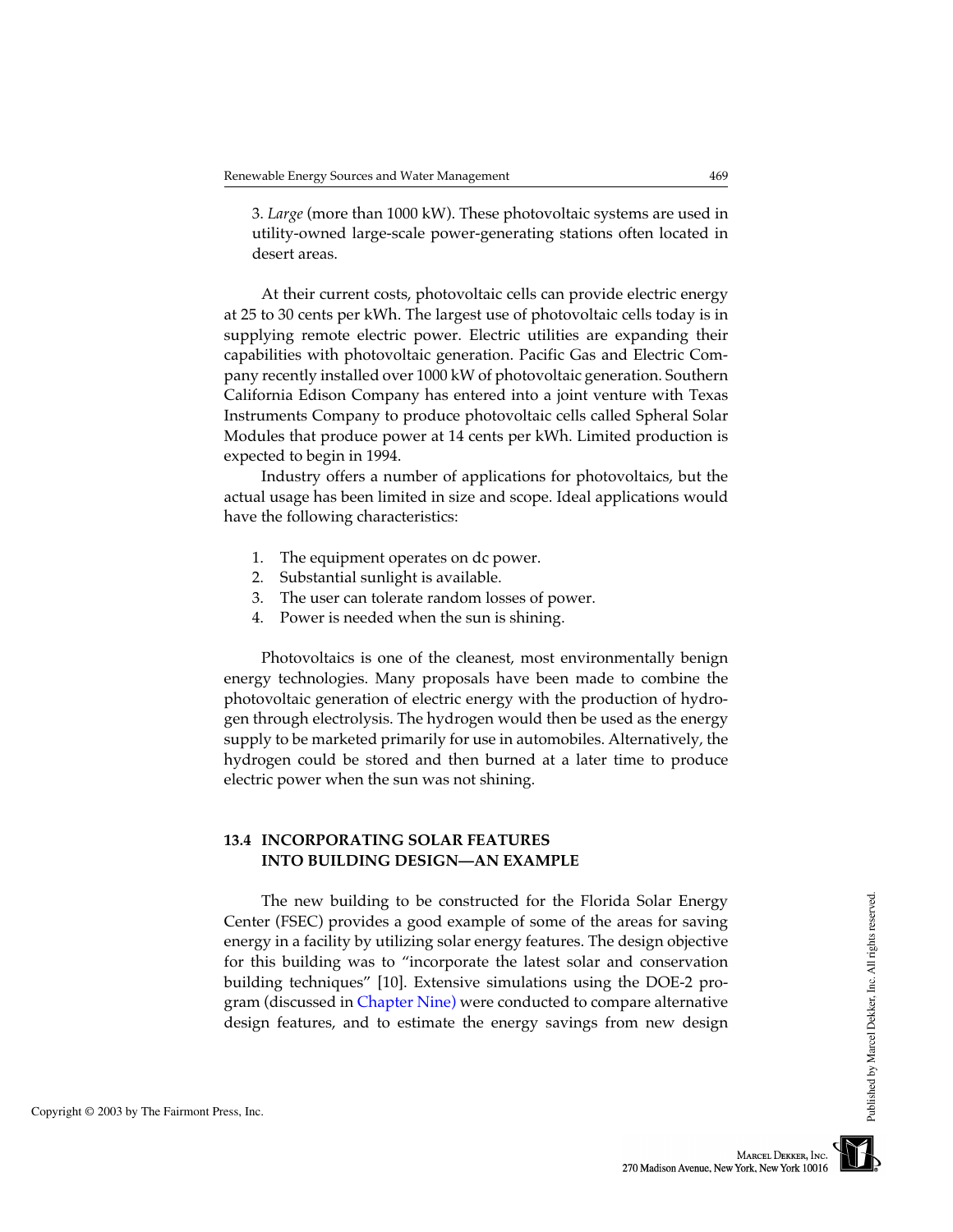3. *Large* (more than 1000 kW). These photovoltaic systems are used in utility-owned large-scale power-generating stations often located in desert areas.

At their current costs, photovoltaic cells can provide electric energy at 25 to 30 cents per kWh. The largest use of photovoltaic cells today is in supplying remote electric power. Electric utilities are expanding their capabilities with photovoltaic generation. Pacific Gas and Electric Company recently installed over 1000 kW of photovoltaic generation. Southern California Edison Company has entered into a joint venture with Texas Instruments Company to produce photovoltaic cells called Spheral Solar Modules that produce power at 14 cents per kWh. Limited production is expected to begin in 1994.

Industry offers a number of applications for photovoltaics, but the actual usage has been limited in size and scope. Ideal applications would have the following characteristics:

- 1. The equipment operates on dc power.
- 2. Substantial sunlight is available.
- 3. The user can tolerate random losses of power.
- 4. Power is needed when the sun is shining.

Photovoltaics is one of the cleanest, most environmentally benign energy technologies. Many proposals have been made to combine the photovoltaic generation of electric energy with the production of hydrogen through electrolysis. The hydrogen would then be used as the energy supply to be marketed primarily for use in automobiles. Alternatively, the hydrogen could be stored and then burned at a later time to produce electric power when the sun was not shining.

# **13.4 INCORPORATING SOLAR FEATURES INTO BUILDING DESIGN—AN EXAMPLE**

The new building to be constructed for the Florida Solar Energy Center (FSEC) provides a good example of some of the areas for saving energy in a facility by utilizing solar energy features. The design objective for this building was to "incorporate the latest solar and conservation building techniques" [10]. Extensive simulations using the DOE-2 program (discussed in Chapter Nine) were conducted to compare alternative design features, and to estimate the energy savings from new design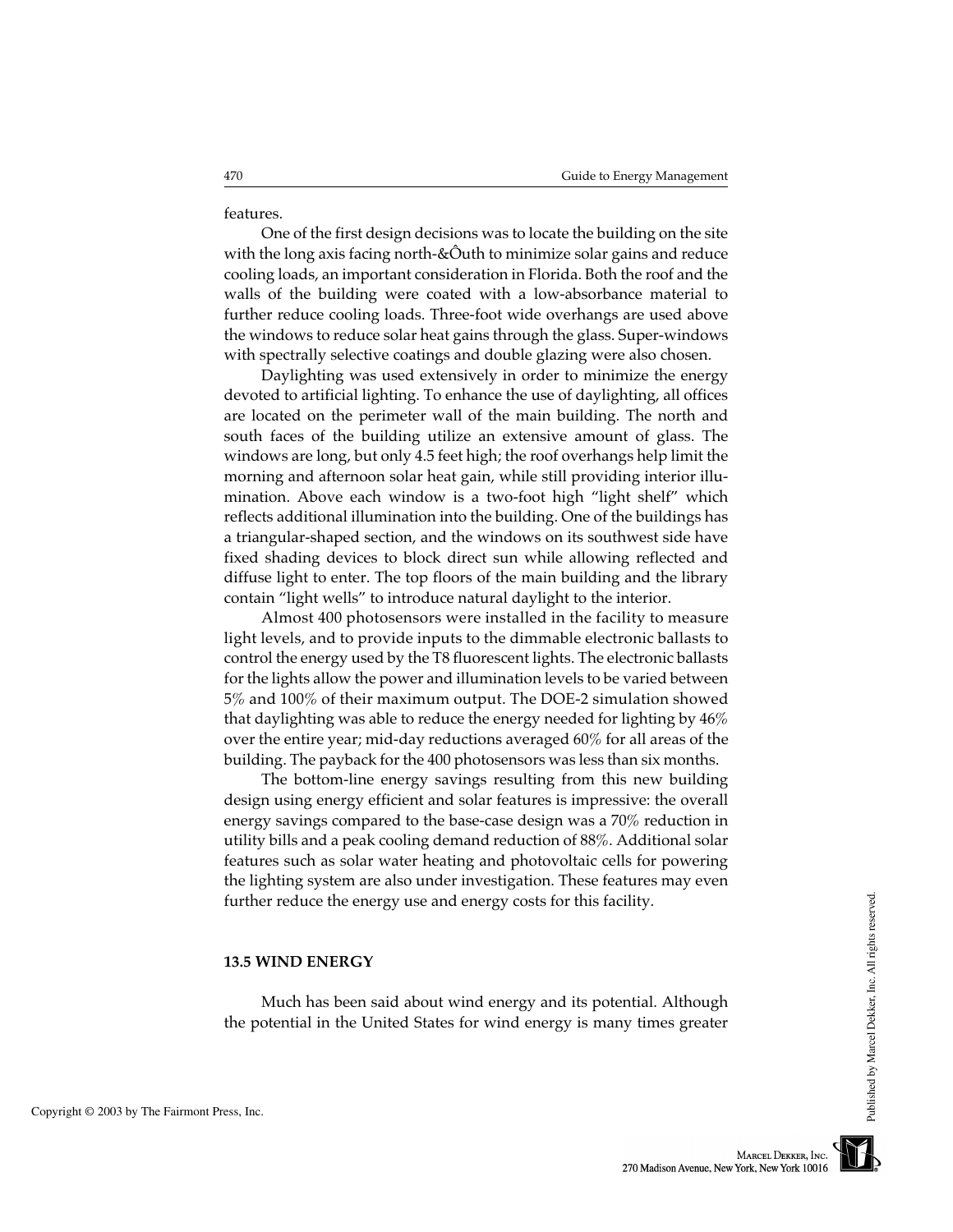features.

One of the first design decisions was to locate the building on the site with the long axis facing north-&Ôuth to minimize solar gains and reduce cooling loads, an important consideration in Florida. Both the roof and the walls of the building were coated with a low-absorbance material to further reduce cooling loads. Three-foot wide overhangs are used above the windows to reduce solar heat gains through the glass. Super-windows with spectrally selective coatings and double glazing were also chosen.

Daylighting was used extensively in order to minimize the energy devoted to artificial lighting. To enhance the use of daylighting, all offices are located on the perimeter wall of the main building. The north and south faces of the building utilize an extensive amount of glass. The windows are long, but only 4.5 feet high; the roof overhangs help limit the morning and afternoon solar heat gain, while still providing interior illumination. Above each window is a two-foot high "light shelf" which reflects additional illumination into the building. One of the buildings has a triangular-shaped section, and the windows on its southwest side have fixed shading devices to block direct sun while allowing reflected and diffuse light to enter. The top floors of the main building and the library contain "light wells" to introduce natural daylight to the interior.

Almost 400 photosensors were installed in the facility to measure light levels, and to provide inputs to the dimmable electronic ballasts to control the energy used by the T8 fluorescent lights. The electronic ballasts for the lights allow the power and illumination levels to be varied between 5% and 100% of their maximum output. The DOE-2 simulation showed that daylighting was able to reduce the energy needed for lighting by 46% over the entire year; mid-day reductions averaged 60% for all areas of the building. The payback for the 400 photosensors was less than six months.

The bottom-line energy savings resulting from this new building design using energy efficient and solar features is impressive: the overall energy savings compared to the base-case design was a 70% reduction in utility bills and a peak cooling demand reduction of 88%. Additional solar features such as solar water heating and photovoltaic cells for powering the lighting system are also under investigation. These features may even further reduce the energy use and energy costs for this facility.

### **13.5 WIND ENERGY**

Much has been said about wind energy and its potential. Although the potential in the United States for wind energy is many times greater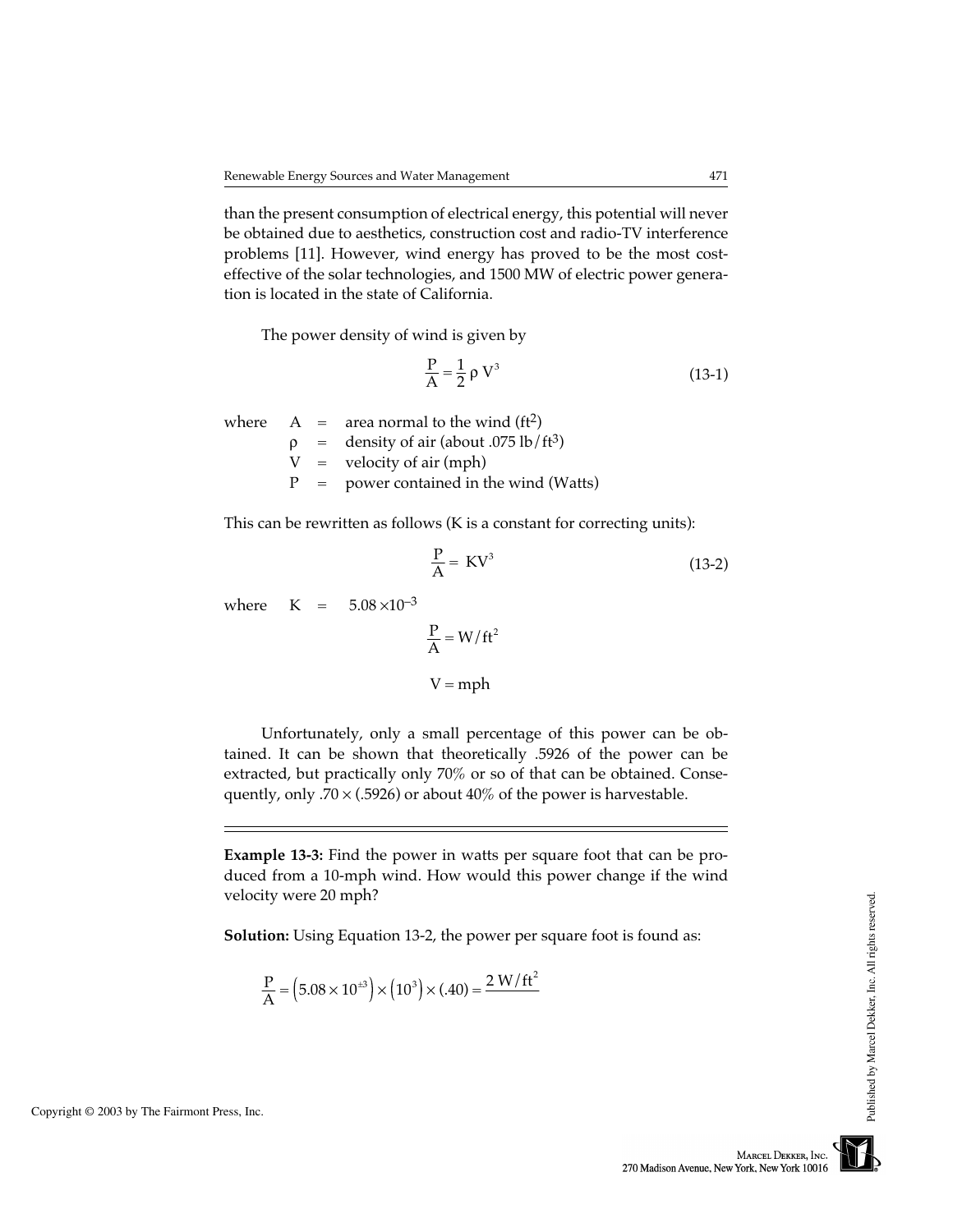than the present consumption of electrical energy, this potential will never be obtained due to aesthetics, construction cost and radio-TV interference problems [11]. However, wind energy has proved to be the most costeffective of the solar technologies, and 1500 MW of electric power generation is located in the state of California.

The power density of wind is given by

$$
\frac{P}{A} = \frac{1}{2} \rho V^3
$$
 (13-1)

where  $A = \text{area normal to the wind (ft}^2)$  $\rho$  = density of air (about .075 lb/ft<sup>3</sup>)  $V =$  velocity of air (mph)  $P = power contained in the wind (Watts)$ 

This can be rewritten as follows (K is a constant for correcting units):

$$
\frac{P}{A} = KV^3 \tag{13-2}
$$

where K =  $5.08 \times 10^{-3}$ 

$$
\frac{P}{A} = W/ft^2
$$

$$
V = mph
$$

Unfortunately, only a small percentage of this power can be obtained. It can be shown that theoretically .5926 of the power can be extracted, but practically only 70% or so of that can be obtained. Consequently, only .70  $\times$  (.5926) or about 40% of the power is harvestable.

**Example 13-3:** Find the power in watts per square foot that can be produced from a 10-mph wind. How would this power change if the wind velocity were 20 mph?

**Solution:** Using Equation 13-2, the power per square foot is found as:

$$
\frac{P}{A} = (5.08 \times 10^{13}) \times (10^3) \times (.40) = \frac{2 W/ft^2}{}
$$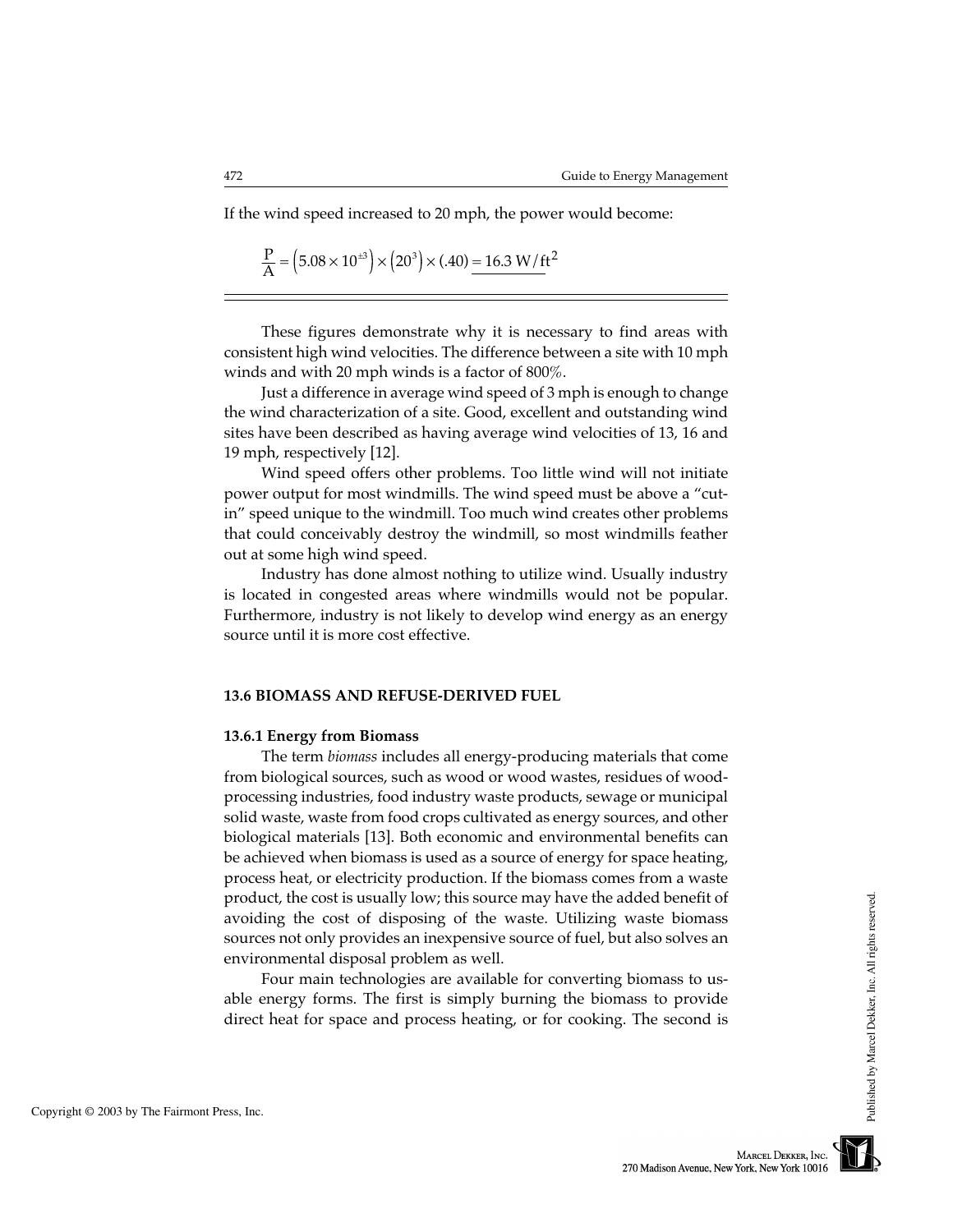If the wind speed increased to 20 mph, the power would become:

$$
\frac{P}{A} = (5.08 \times 10^{43}) \times (20^{3}) \times (.40) = 16.3 W/ft^{2}
$$

These figures demonstrate why it is necessary to find areas with consistent high wind velocities. The difference between a site with 10 mph winds and with 20 mph winds is a factor of 800%.

Just a difference in average wind speed of 3 mph is enough to change the wind characterization of a site. Good, excellent and outstanding wind sites have been described as having average wind velocities of 13, 16 and 19 mph, respectively [12].

Wind speed offers other problems. Too little wind will not initiate power output for most windmills. The wind speed must be above a "cutin" speed unique to the windmill. Too much wind creates other problems that could conceivably destroy the windmill, so most windmills feather out at some high wind speed.

Industry has done almost nothing to utilize wind. Usually industry is located in congested areas where windmills would not be popular. Furthermore, industry is not likely to develop wind energy as an energy source until it is more cost effective.

# **13.6 BIOMASS AND REFUSE-DERIVED FUEL**

#### **13.6.1 Energy from Biomass**

The term *biomass* includes all energy-producing materials that come from biological sources, such as wood or wood wastes, residues of woodprocessing industries, food industry waste products, sewage or municipal solid waste, waste from food crops cultivated as energy sources, and other biological materials [13]. Both economic and environmental benefits can be achieved when biomass is used as a source of energy for space heating, process heat, or electricity production. If the biomass comes from a waste product, the cost is usually low; this source may have the added benefit of avoiding the cost of disposing of the waste. Utilizing waste biomass sources not only provides an inexpensive source of fuel, but also solves an environmental disposal problem as well.

Four main technologies are available for converting biomass to usable energy forms. The first is simply burning the biomass to provide direct heat for space and process heating, or for cooking. The second is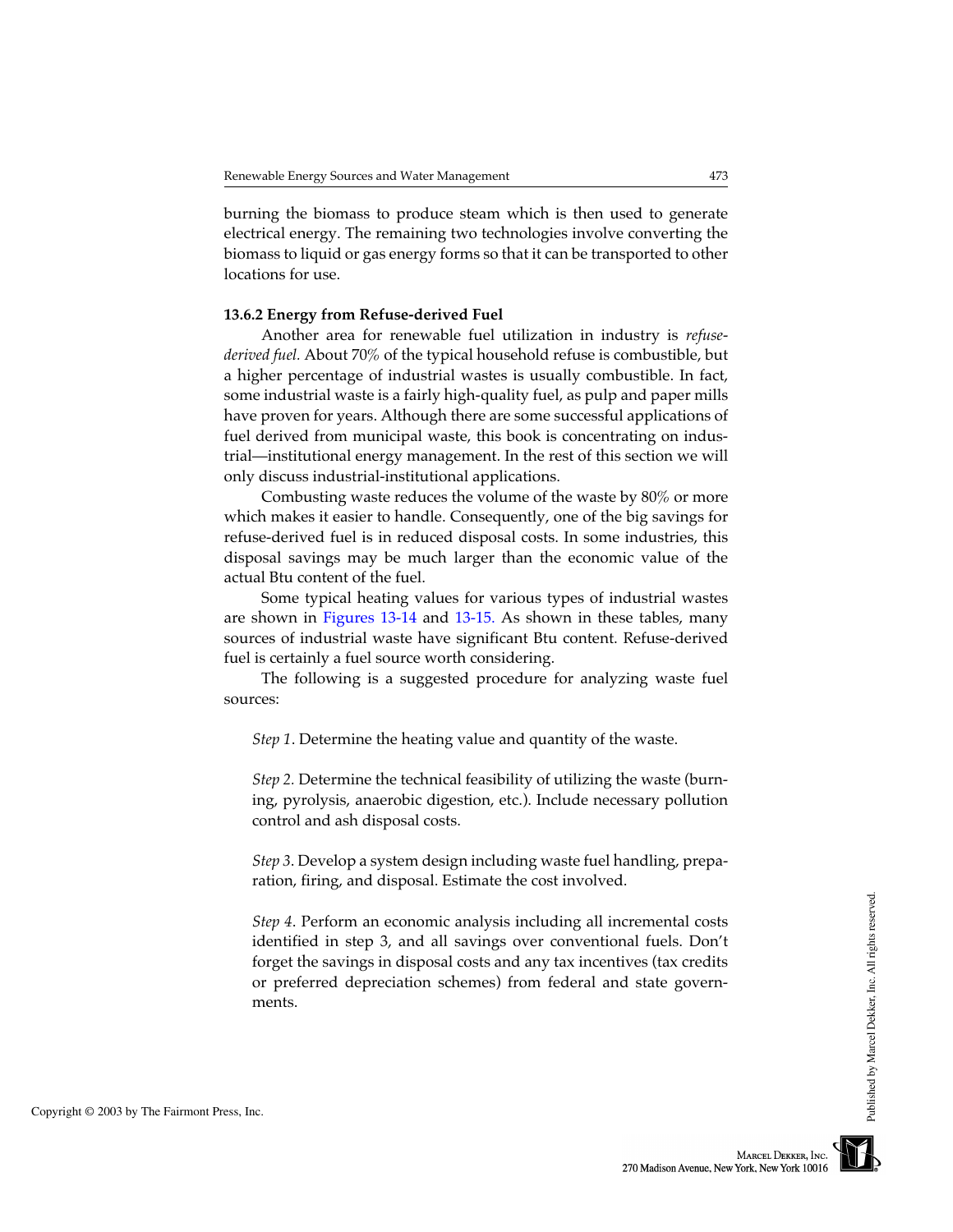burning the biomass to produce steam which is then used to generate electrical energy. The remaining two technologies involve converting the biomass to liquid or gas energy forms so that it can be transported to other locations for use.

## **13.6.2 Energy from Refuse-derived Fuel**

Another area for renewable fuel utilization in industry is *refusederived fuel.* About 70% of the typical household refuse is combustible, but a higher percentage of industrial wastes is usually combustible. In fact, some industrial waste is a fairly high-quality fuel, as pulp and paper mills have proven for years. Although there are some successful applications of fuel derived from municipal waste, this book is concentrating on industrial—institutional energy management. In the rest of this section we will only discuss industrial-institutional applications.

Combusting waste reduces the volume of the waste by 80% or more which makes it easier to handle. Consequently, one of the big savings for refuse-derived fuel is in reduced disposal costs. In some industries, this disposal savings may be much larger than the economic value of the actual Btu content of the fuel.

Some typical heating values for various types of industrial wastes are shown in [Figures 13-14](#page-27-0) and [13-15.](#page-28-0) As shown in these tables, many sources of industrial waste have significant Btu content. Refuse-derived fuel is certainly a fuel source worth considering.

The following is a suggested procedure for analyzing waste fuel sources:

*Step 1*. Determine the heating value and quantity of the waste.

*Step 2.* Determine the technical feasibility of utilizing the waste (burning, pyrolysis, anaerobic digestion, etc.). Include necessary pollution control and ash disposal costs.

*Step 3*. Develop a system design including waste fuel handling, preparation, firing, and disposal. Estimate the cost involved.

*Step 4*. Perform an economic analysis including all incremental costs identified in step 3, and all savings over conventional fuels. Don't forget the savings in disposal costs and any tax incentives (tax credits or preferred depreciation schemes) from federal and state governments.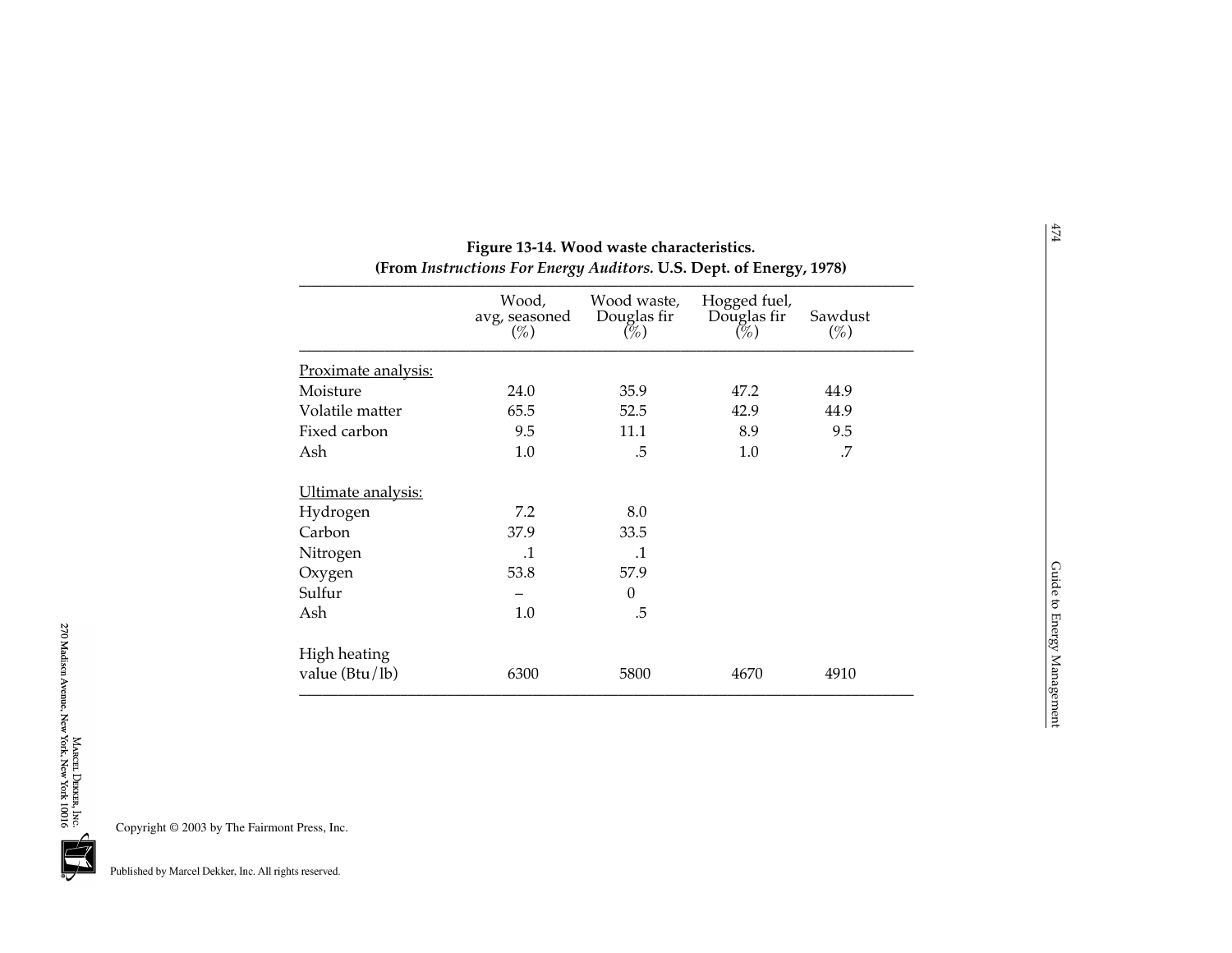<span id="page-27-0"></span>

|                     | Wood,<br>avg, seasoned<br>$(\%)$ | Wood waste,<br>Douglas fir<br>$(\%)$ | Hogged fuel,<br>Douglas fir<br>$(\%)$ | Sawdust<br>$(\%)$ |
|---------------------|----------------------------------|--------------------------------------|---------------------------------------|-------------------|
| Proximate analysis: |                                  |                                      |                                       |                   |
| Moisture            | 24.0                             | 35.9                                 | 47.2                                  | 44.9              |
| Volatile matter     | 65.5                             | 52.5                                 | 42.9                                  | 44.9              |
| Fixed carbon        | 9.5                              | 11.1                                 | 8.9                                   | 9.5               |
| Ash                 | 1.0                              | $.5\,$                               | 1.0                                   | .7                |
| Ultimate analysis:  |                                  |                                      |                                       |                   |
| Hydrogen            | 7.2                              | 8.0                                  |                                       |                   |
| Carbon              | 37.9                             | 33.5                                 |                                       |                   |
| Nitrogen            | $\cdot$ 1                        | $\cdot$ 1                            |                                       |                   |
| Oxygen              | 53.8                             | 57.9                                 |                                       |                   |
| Sulfur              |                                  | $\theta$                             |                                       |                   |
| Ash                 | 1.0                              | $.5\,$                               |                                       |                   |
| High heating        |                                  |                                      |                                       |                   |
| value (Btu/lb)      | 6300                             | 5800                                 | 4670                                  | 4910              |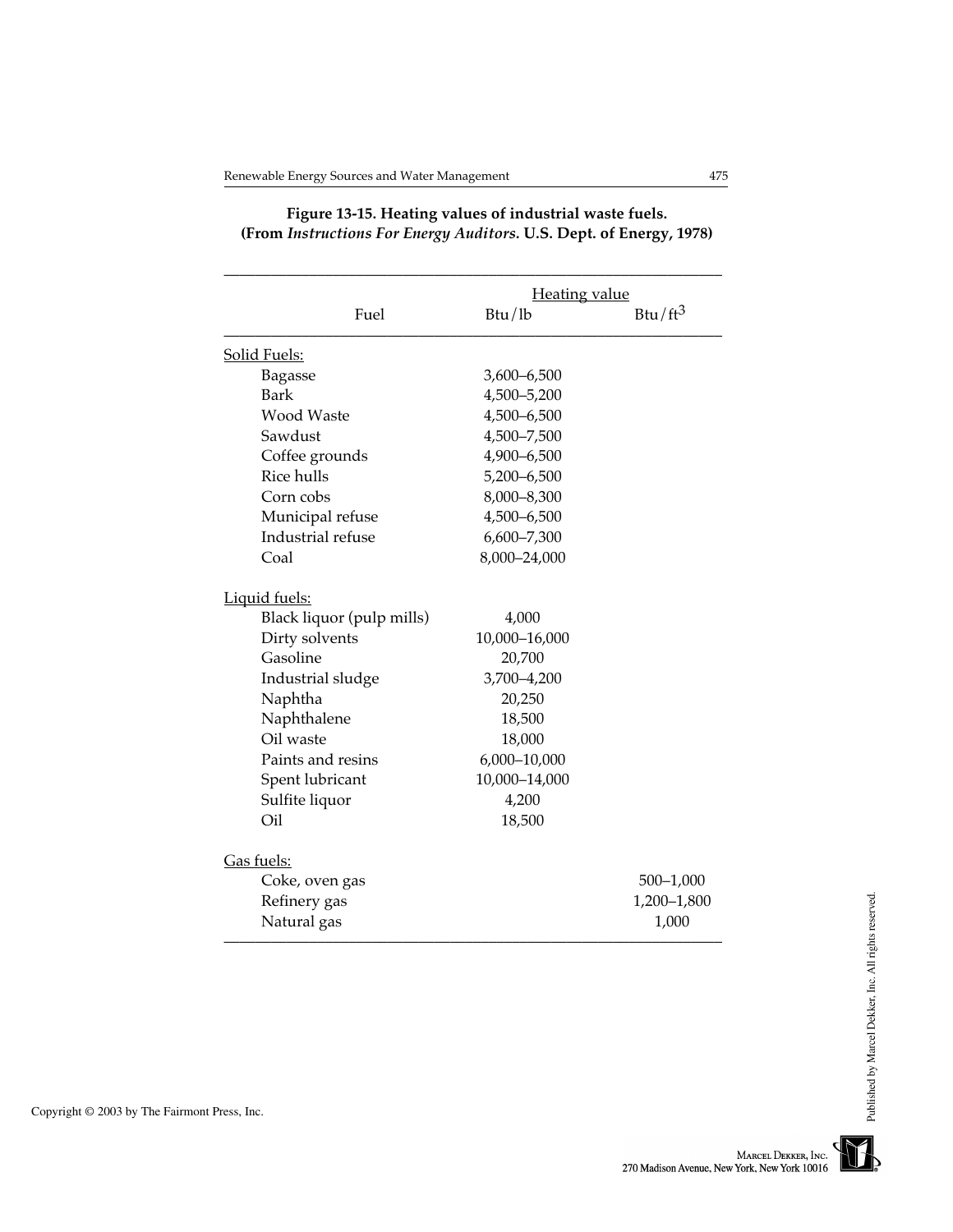|                           | <b>Heating value</b> |               |  |  |  |  |
|---------------------------|----------------------|---------------|--|--|--|--|
| Fuel                      | Btu/lb               | Btu/ $ft^3$   |  |  |  |  |
| <u>Solid Fuels:</u>       |                      |               |  |  |  |  |
| <b>Bagasse</b>            | 3,600-6,500          |               |  |  |  |  |
| <b>Bark</b>               | 4,500-5,200          |               |  |  |  |  |
| <b>Wood Waste</b>         | 4,500-6,500          |               |  |  |  |  |
| Sawdust                   | 4,500-7,500          |               |  |  |  |  |
| Coffee grounds            | 4,900-6,500          |               |  |  |  |  |
| Rice hulls                | 5,200-6,500          |               |  |  |  |  |
| Corn cobs                 | 8,000-8,300          |               |  |  |  |  |
| Municipal refuse          | 4,500-6,500          |               |  |  |  |  |
| Industrial refuse         | 6,600-7,300          |               |  |  |  |  |
| Coal                      | 8,000-24,000         |               |  |  |  |  |
| <u>Liquid fuels:</u>      |                      |               |  |  |  |  |
| Black liquor (pulp mills) | 4,000                |               |  |  |  |  |
| Dirty solvents            | 10,000-16,000        |               |  |  |  |  |
| Gasoline                  | 20,700               |               |  |  |  |  |
| Industrial sludge         | 3,700-4,200          |               |  |  |  |  |
| Naphtha                   | 20,250               |               |  |  |  |  |
| Naphthalene               | 18,500               |               |  |  |  |  |
| Oil waste                 | 18,000               |               |  |  |  |  |
| Paints and resins         | 6,000-10,000         |               |  |  |  |  |
| Spent lubricant           | 10,000-14,000        |               |  |  |  |  |
| Sulfite liquor            | 4,200                |               |  |  |  |  |
| Oil                       | 18,500               |               |  |  |  |  |
| <u>Gas fuels:</u>         |                      |               |  |  |  |  |
| Coke, oven gas            |                      | $500 - 1,000$ |  |  |  |  |
| Refinery gas              |                      | 1,200-1,800   |  |  |  |  |
| Natural gas               |                      | 1,000         |  |  |  |  |

––––––––––––––––––––––––––––––––––––––––––––––––––––––––––––––––

# <span id="page-28-0"></span>**Figure 13-15. Heating values of industrial waste fuels. (From** *Instructions For Energy Auditors***. U.S. Dept. of Energy, 1978)**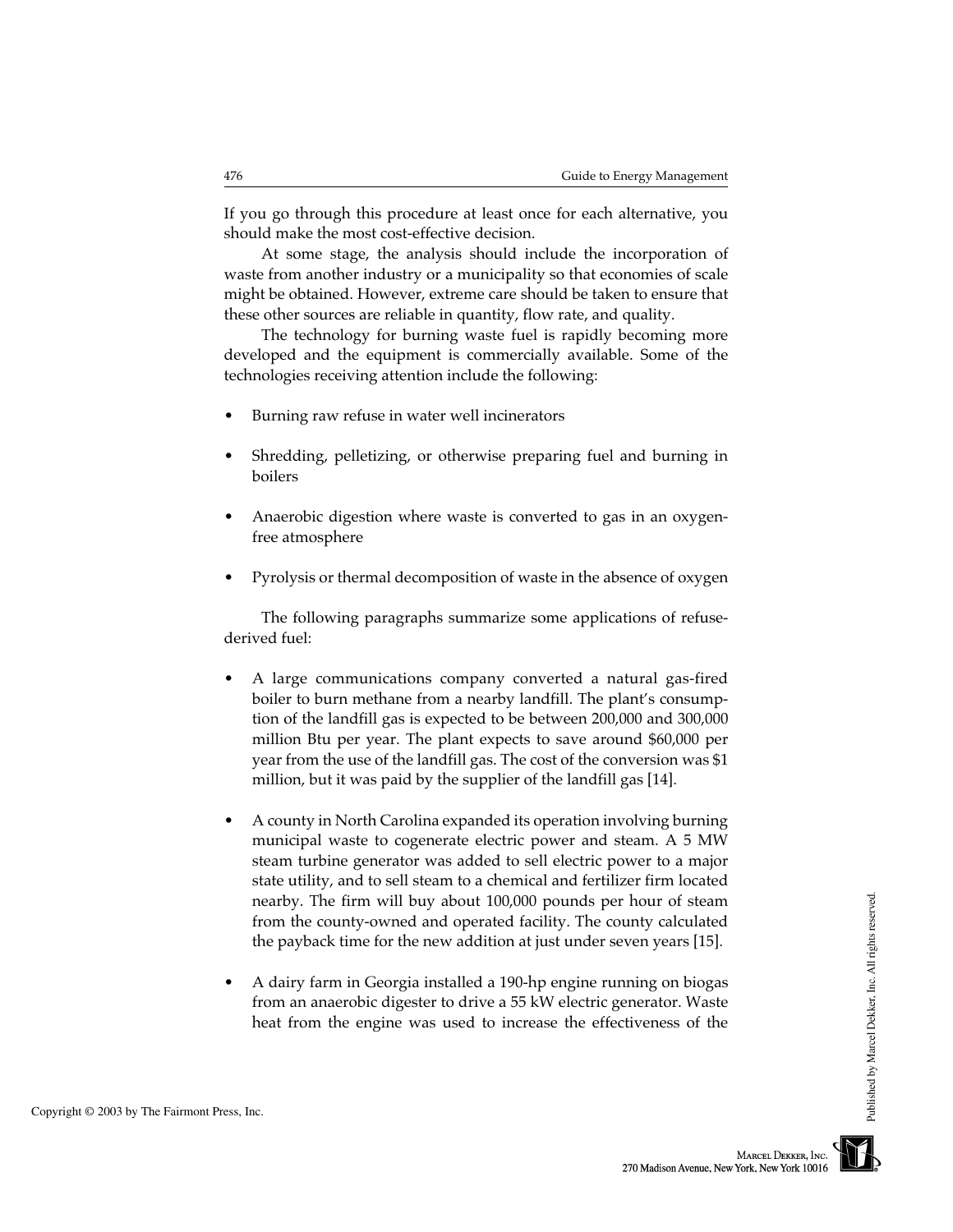If you go through this procedure at least once for each alternative, you should make the most cost-effective decision.

At some stage, the analysis should include the incorporation of waste from another industry or a municipality so that economies of scale might be obtained. However, extreme care should be taken to ensure that these other sources are reliable in quantity, flow rate, and quality.

The technology for burning waste fuel is rapidly becoming more developed and the equipment is commercially available. Some of the technologies receiving attention include the following:

- Burning raw refuse in water well incinerators
- Shredding, pelletizing, or otherwise preparing fuel and burning in boilers
- Anaerobic digestion where waste is converted to gas in an oxygenfree atmosphere
- Pyrolysis or thermal decomposition of waste in the absence of oxygen

The following paragraphs summarize some applications of refusederived fuel:

- A large communications company converted a natural gas-fired boiler to burn methane from a nearby landfill. The plant's consumption of the landfill gas is expected to be between 200,000 and 300,000 million Btu per year. The plant expects to save around \$60,000 per year from the use of the landfill gas. The cost of the conversion was \$1 million, but it was paid by the supplier of the landfill gas [14].
- A county in North Carolina expanded its operation involving burning municipal waste to cogenerate electric power and steam. A 5 MW steam turbine generator was added to sell electric power to a major state utility, and to sell steam to a chemical and fertilizer firm located nearby. The firm will buy about 100,000 pounds per hour of steam from the county-owned and operated facility. The county calculated the payback time for the new addition at just under seven years [15].
- A dairy farm in Georgia installed a 190-hp engine running on biogas from an anaerobic digester to drive a 55 kW electric generator. Waste heat from the engine was used to increase the effectiveness of the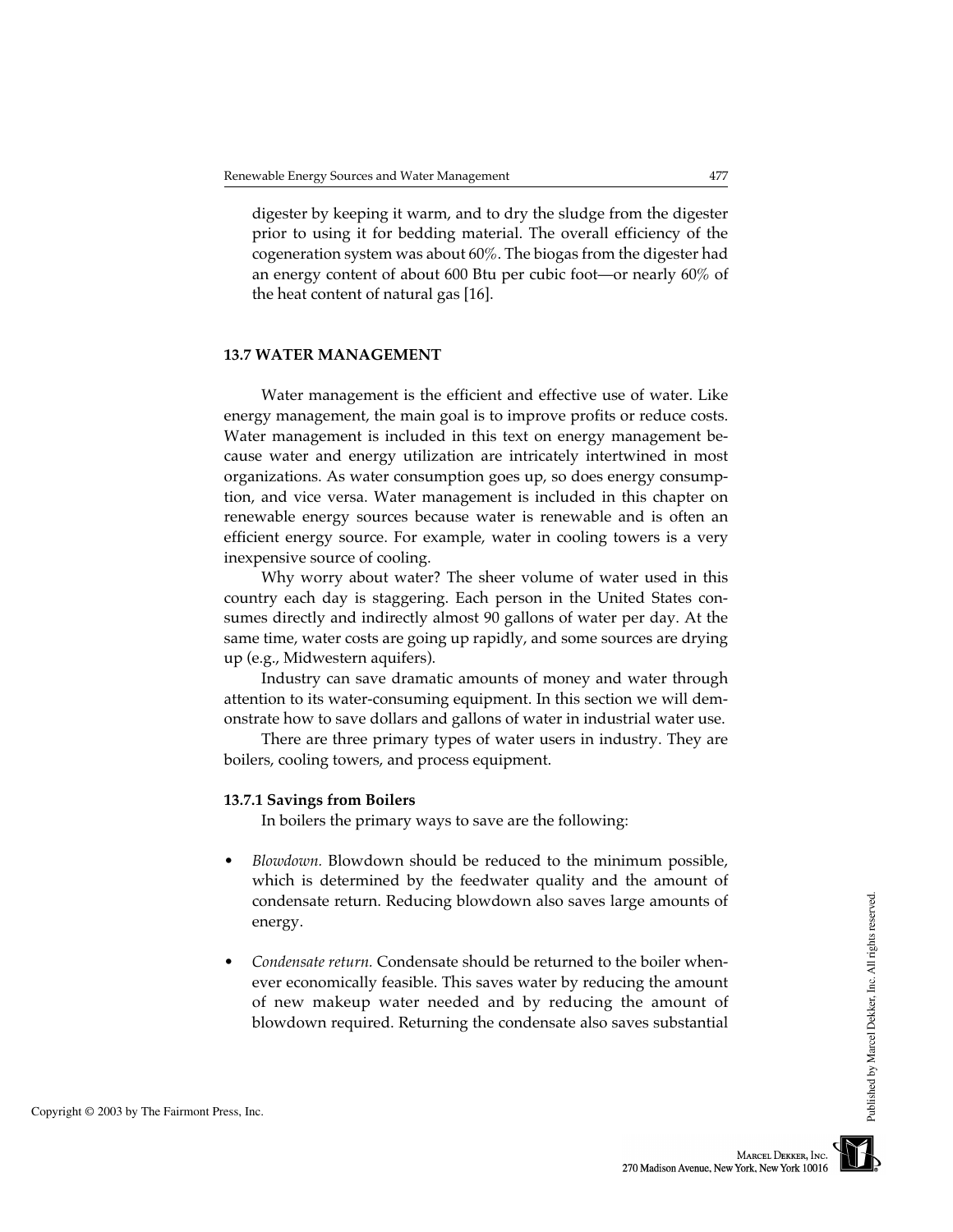digester by keeping it warm, and to dry the sludge from the digester prior to using it for bedding material. The overall efficiency of the cogeneration system was about 60%. The biogas from the digester had an energy content of about 600 Btu per cubic foot—or nearly 60% of the heat content of natural gas [16].

### **13.7 WATER MANAGEMENT**

Water management is the efficient and effective use of water. Like energy management, the main goal is to improve profits or reduce costs. Water management is included in this text on energy management because water and energy utilization are intricately intertwined in most organizations. As water consumption goes up, so does energy consumption, and vice versa. Water management is included in this chapter on renewable energy sources because water is renewable and is often an efficient energy source. For example, water in cooling towers is a very inexpensive source of cooling.

Why worry about water? The sheer volume of water used in this country each day is staggering. Each person in the United States consumes directly and indirectly almost 90 gallons of water per day. At the same time, water costs are going up rapidly, and some sources are drying up (e.g., Midwestern aquifers).

Industry can save dramatic amounts of money and water through attention to its water-consuming equipment. In this section we will demonstrate how to save dollars and gallons of water in industrial water use.

There are three primary types of water users in industry. They are boilers, cooling towers, and process equipment.

#### **13.7.1 Savings from Boilers**

In boilers the primary ways to save are the following:

- *Blowdown.* Blowdown should be reduced to the minimum possible, which is determined by the feedwater quality and the amount of condensate return. Reducing blowdown also saves large amounts of energy.
- *Condensate return.* Condensate should be returned to the boiler whenever economically feasible. This saves water by reducing the amount of new makeup water needed and by reducing the amount of blowdown required. Returning the condensate also saves substantial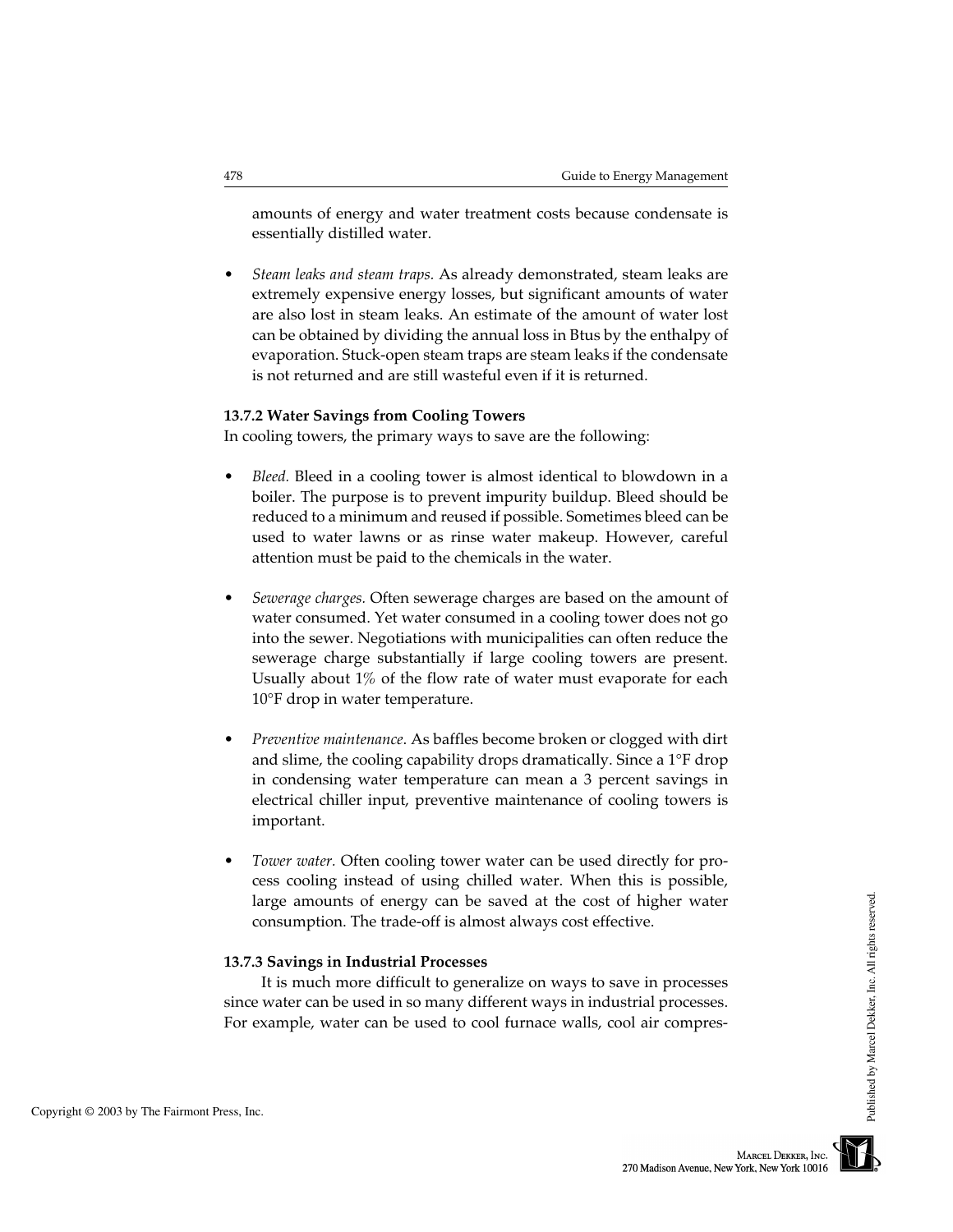amounts of energy and water treatment costs because condensate is essentially distilled water.

• *Steam leaks and steam traps.* As already demonstrated, steam leaks are extremely expensive energy losses, but significant amounts of water are also lost in steam leaks. An estimate of the amount of water lost can be obtained by dividing the annual loss in Btus by the enthalpy of evaporation. Stuck-open steam traps are steam leaks if the condensate is not returned and are still wasteful even if it is returned.

# **13.7.2 Water Savings from Cooling Towers**

In cooling towers, the primary ways to save are the following:

- *Bleed.* Bleed in a cooling tower is almost identical to blowdown in a boiler. The purpose is to prevent impurity buildup. Bleed should be reduced to a minimum and reused if possible. Sometimes bleed can be used to water lawns or as rinse water makeup. However, careful attention must be paid to the chemicals in the water.
- *Sewerage charges.* Often sewerage charges are based on the amount of water consumed. Yet water consumed in a cooling tower does not go into the sewer. Negotiations with municipalities can often reduce the sewerage charge substantially if large cooling towers are present. Usually about 1% of the flow rate of water must evaporate for each 10°F drop in water temperature.
- *Preventive maintenance*. As baffles become broken or clogged with dirt and slime, the cooling capability drops dramatically. Since a 1°F drop in condensing water temperature can mean a 3 percent savings in electrical chiller input, preventive maintenance of cooling towers is important.
- *Tower water.* Often cooling tower water can be used directly for process cooling instead of using chilled water. When this is possible, large amounts of energy can be saved at the cost of higher water consumption. The trade-off is almost always cost effective.

# **13.7.3 Savings in Industrial Processes**

It is much more difficult to generalize on ways to save in processes since water can be used in so many different ways in industrial processes. For example, water can be used to cool furnace walls, cool air compres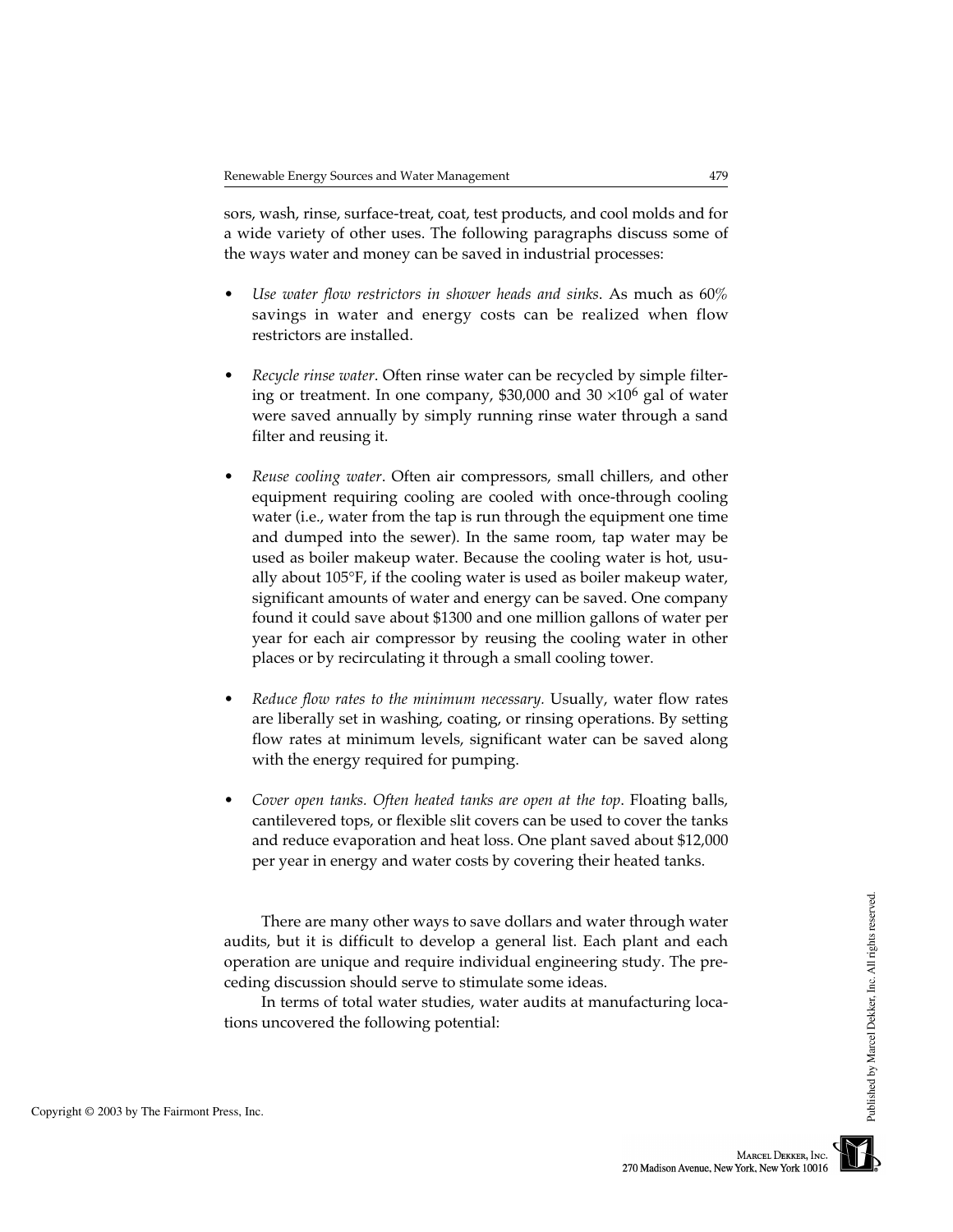sors, wash, rinse, surface-treat, coat, test products, and cool molds and for a wide variety of other uses. The following paragraphs discuss some of the ways water and money can be saved in industrial processes:

- *Use water flow restrictors in shower heads and sinks*. As much as 60% savings in water and energy costs can be realized when flow restrictors are installed.
- *Recycle rinse water*. Often rinse water can be recycled by simple filtering or treatment. In one company,  $$30,000$  and  $30 \times 10^6$  gal of water were saved annually by simply running rinse water through a sand filter and reusing it.
- *Reuse cooling water*. Often air compressors, small chillers, and other equipment requiring cooling are cooled with once-through cooling water (i.e., water from the tap is run through the equipment one time and dumped into the sewer). In the same room, tap water may be used as boiler makeup water. Because the cooling water is hot, usually about 105°F, if the cooling water is used as boiler makeup water, significant amounts of water and energy can be saved. One company found it could save about \$1300 and one million gallons of water per year for each air compressor by reusing the cooling water in other places or by recirculating it through a small cooling tower.
- *Reduce flow rates to the minimum necessary.* Usually, water flow rates are liberally set in washing, coating, or rinsing operations. By setting flow rates at minimum levels, significant water can be saved along with the energy required for pumping.
- *Cover open tanks. Often heated tanks are open at the top*. Floating balls, cantilevered tops, or flexible slit covers can be used to cover the tanks and reduce evaporation and heat loss. One plant saved about \$12,000 per year in energy and water costs by covering their heated tanks.

There are many other ways to save dollars and water through water audits, but it is difficult to develop a general list. Each plant and each operation are unique and require individual engineering study. The preceding discussion should serve to stimulate some ideas.

In terms of total water studies, water audits at manufacturing locations uncovered the following potential: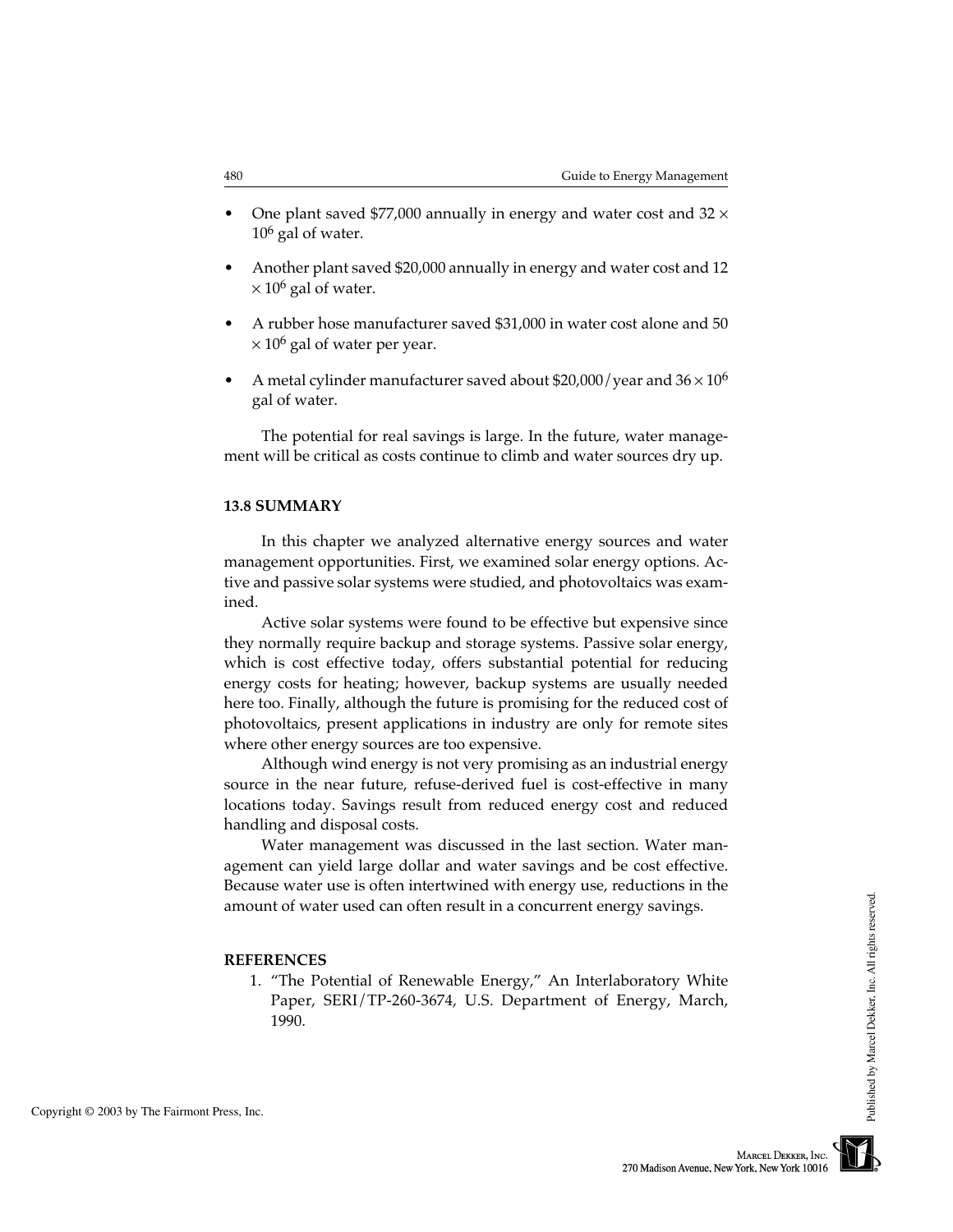- One plant saved \$77,000 annually in energy and water cost and  $32 \times$  $10^6$  gal of water.
- Another plant saved \$20,000 annually in energy and water cost and 12  $\times$  10<sup>6</sup> gal of water.
- A rubber hose manufacturer saved \$31,000 in water cost alone and 50  $\times$  10<sup>6</sup> gal of water per year.
- A metal cylinder manufacturer saved about \$20,000/year and  $36 \times 10^6$ gal of water.

The potential for real savings is large. In the future, water management will be critical as costs continue to climb and water sources dry up.

# **13.8 SUMMARY**

In this chapter we analyzed alternative energy sources and water management opportunities. First, we examined solar energy options. Active and passive solar systems were studied, and photovoltaics was examined.

Active solar systems were found to be effective but expensive since they normally require backup and storage systems. Passive solar energy, which is cost effective today, offers substantial potential for reducing energy costs for heating; however, backup systems are usually needed here too. Finally, although the future is promising for the reduced cost of photovoltaics, present applications in industry are only for remote sites where other energy sources are too expensive.

Although wind energy is not very promising as an industrial energy source in the near future, refuse-derived fuel is cost-effective in many locations today. Savings result from reduced energy cost and reduced handling and disposal costs.

Water management was discussed in the last section. Water management can yield large dollar and water savings and be cost effective. Because water use is often intertwined with energy use, reductions in the amount of water used can often result in a concurrent energy savings.

# **REFERENCES**

1. "The Potential of Renewable Energy," An Interlaboratory White Paper, SERI/TP-260-3674, U.S. Department of Energy, March, 1990.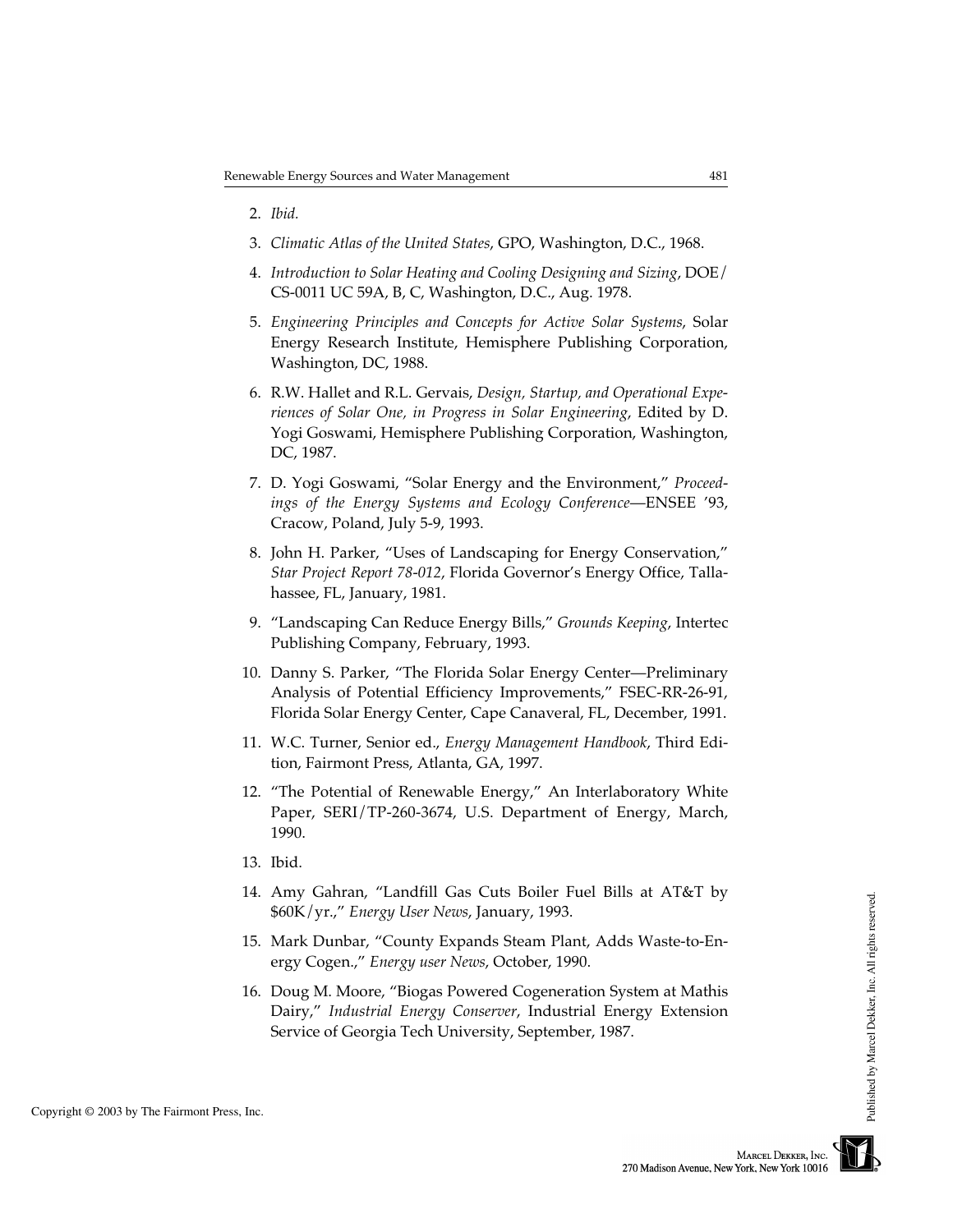- 2. *Ibid.*
- 3. *Climatic Atlas of the United States*, GPO, Washington, D.C., 1968.
- 4. *Introduction to Solar Heating and Cooling Designing and Sizing*, DOE/ CS-0011 UC 59A, B, C, Washington, D.C., Aug. 1978.
- 5. *Engineering Principles and Concepts for Active Solar Systems*, Solar Energy Research Institute, Hemisphere Publishing Corporation, Washington, DC, 1988.
- 6. R.W. Hallet and R.L. Gervais, *Design, Startup, and Operational Experiences of Solar One, in Progress in Solar Engineering*, Edited by D. Yogi Goswami, Hemisphere Publishing Corporation, Washington, DC, 1987.
- 7. D. Yogi Goswami, "Solar Energy and the Environment," *Proceedings of the Energy Systems and Ecology Conference*—ENSEE '93, Cracow, Poland, July 5-9, 1993.
- 8. John H. Parker, "Uses of Landscaping for Energy Conservation," *Star Project Report 78-012*, Florida Governor's Energy Office, Tallahassee, FL, January, 1981.
- 9. "Landscaping Can Reduce Energy Bills," *Grounds Keeping*, Intertec Publishing Company, February, 1993.
- 10. Danny S. Parker, "The Florida Solar Energy Center—Preliminary Analysis of Potential Efficiency Improvements," FSEC-RR-26-91, Florida Solar Energy Center, Cape Canaveral, FL, December, 1991.
- 11. W.C. Turner, Senior ed., *Energy Management Handbook*, Third Edition, Fairmont Press, Atlanta, GA, 1997.
- 12. "The Potential of Renewable Energy," An Interlaboratory White Paper, SERI/TP-260-3674, U.S. Department of Energy, March, 1990.
- 13. Ibid.
- 14. Amy Gahran, "Landfill Gas Cuts Boiler Fuel Bills at AT&T by \$60K/yr.," *Energy User News*, January, 1993.
- 15. Mark Dunbar, "County Expands Steam Plant, Adds Waste-to-Energy Cogen.," *Energy user News*, October, 1990.
- 16. Doug M. Moore, "Biogas Powered Cogeneration System at Mathis Dairy," *Industrial Energy Conserver*, Industrial Energy Extension Service of Georgia Tech University, September, 1987.